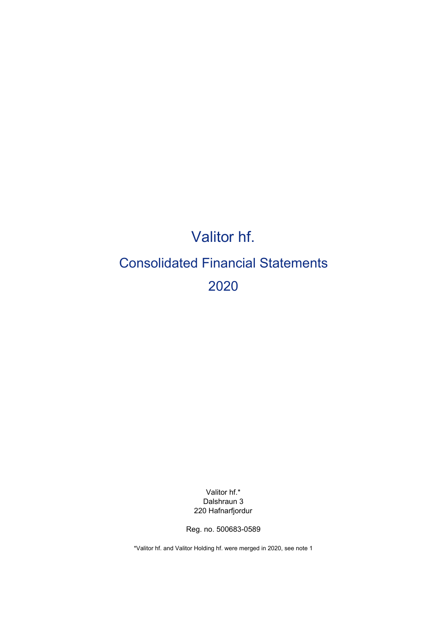# 2020 Valitor hf. Consolidated Financial Statements

Valitor hf.\* Dalshraun 3 220 Hafnarfjordur

Reg. no. 500683-0589

\*Valitor hf. and Valitor Holding hf. were merged in 2020, see note 1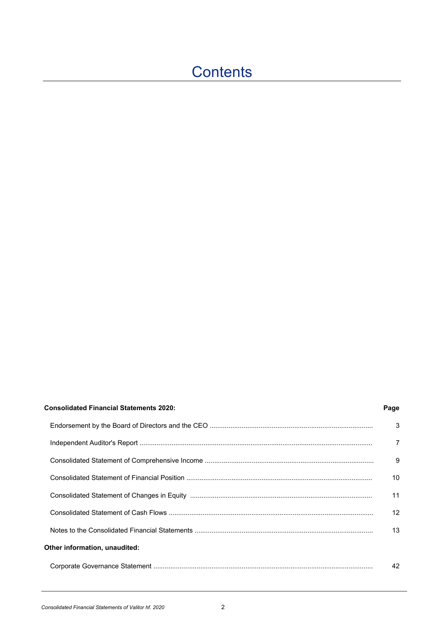# **Contents**

| <b>Consolidated Financial Statements 2020:</b> | Page |
|------------------------------------------------|------|
|                                                | 3    |
|                                                | 7    |
|                                                | 9    |
|                                                | 10   |
|                                                | 11   |
|                                                | 12   |
|                                                | 13   |
| Other information, unaudited:                  |      |
|                                                | 42   |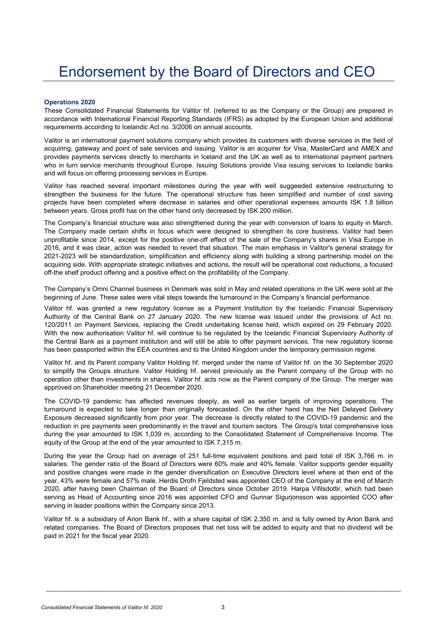## Endorsement by the Board of Directors and CEO

### **Operations 2020**

These Consolidated Financial Statements for Valitor hf. (referred to as the Company or the Group) are prepared in accordance with International Financial Reporting Standards (IFRS) as adopted by the European Union and additional requirements according to Icelandic Act no. 3/2006 on annual accounts.

Valitor is an international payment solutions company which provides its customers with diverse services in the field of acquiring, gateway and point of sale services and issuing. Valitor is an acquirer for Visa, MasterCard and AMEX and provides payments services directly to merchants in Iceland and the UK as well as to international payment partners who in turn service merchants throughout Europe. Issuing Solutions provide Visa issuing services to Icelandic banks and will focus on offering processing services in Europe.

Valitor has reached several important milestones during the year with well suggeeded extensive restructuring to strengthen the business for the future. The operational structure has been simplified and number of cost saving projects have been completed where decrease in salaries and other operational expenses amounts ISK 1.8 billion between years. Gross profit has on the other hand only decreased by ISK 200 million.

The Company's financial structure was also strengthened during the year with conversion of loans to equity in March. The Company made certain shifts in focus which were designed to strengthen its core business. Valitor had been unprofitable since 2014, except for the positive one-off effect of the sale of the Company's shares in Visa Europe in 2016, and it was clear, action was needed to revert that situation. The main emphasis in Valitor's general strategy for 2021-2023 will be standardization, simplification and efficiency along with building a strong partnership model on the acquiring side. With appropriate strategic initiatives and actions, the result will be operational cost reductions, a focused off-the shelf product offering and a positive effect on the profitability of the Company.

The Company's Omni Channel business in Denmark was sold in May and related operations in the UK were sold at the beginning of June. These sales were vital steps towards the turnaround in the Company's financial performance.

Valitor hf. was granted a new regulatory license as a Payment Institution by the Icelandic Financial Supervisory Authority of the Central Bank on 27 January 2020. The new license was issued under the provisions of Act no. 120/2011 on Payment Services, replacing the Credit undertaking license held, which expired on 29 February 2020. With the new authorisation Valitor hf. will continue to be regulated by the Icelandic Financial Supervisory Authority of the Central Bank as a payment institution and will still be able to offer payment services. The new regulatory license has been passported within the EEA countries and to the United Kingdom under the temporary permission regime.

Valitor hf. and its Parent company Valitor Holding hf. merged under the name of Valitor hf. on the 30 September 2020 to simplify the Groups structure. Valitor Holding hf. served previously as the Parent company of the Group with no operation other than investments in shares. Valitor hf. acts now as the Parent company of the Group. The merger was approved on Shareholder meeting 21 December 2020.

The COVID-19 pandemic has affected revenues deeply, as well as earlier targets of improving operations. The turnaround is expected to take longer than originally forecasted. On the other hand has the Net Delayed Delivery Exposure decreased significantly from prior year. The decrease is directly related to the COVID-19 pandemic and the reduction in pre payments seen predominantly in the travel and tourism sectors. The Group's total comprehensive loss during the year amounted to ISK 1,039 m. according to the Consolidated Statement of Comprehensive Income. The equity of the Group at the end of the year amounted to ISK 7,315 m.

During the year the Group had on average of 251 full-time equivalent positions and paid total of ISK 3,766 m. in salaries. The gender ratio of the Board of Directors were 60% male and 40% female. Valitor supports gender equality and positive changes were made in the gender diversification on Executive Directors level where at then end of the year, 43% were female and 57% male. Herdis Drofn Fjeldsted was appointed CEO of the Company at the end of March 2020, after having been Chairman of the Board of Directors since October 2019. Harpa Vifilsdottir, which had been serving as Head of Accounting since 2016 was appointed CFO and Gunnar Sigurjonsson was appointed COO after serving in leader positions within the Company since 2013.

Valitor hf. is a subsidiary of Arion Bank hf., with a share capital of ISK 2,350 m. and is fully owned by Arion Bank and related companies. The Board of Directors proposes that net loss will be added to equity and that no dividend will be paid in 2021 for the fiscal year 2020.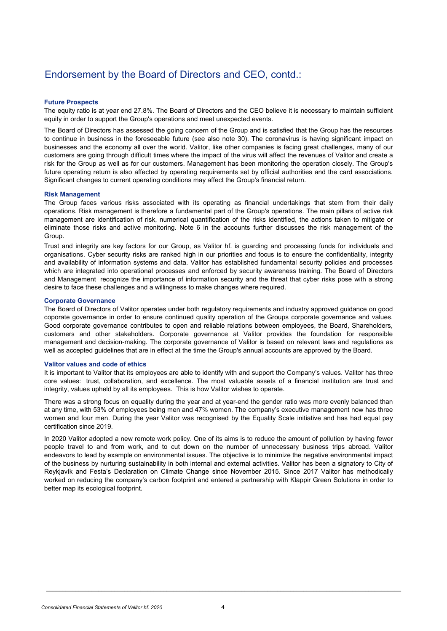### **Future Prospects**

The equity ratio is at year end 27.8%. The Board of Directors and the CEO believe it is necessary to maintain sufficient equity in order to support the Group's operations and meet unexpected events.

The Board of Directors has assessed the going concern of the Group and is satisfied that the Group has the resources to continue in business in the foreseeable future (see also note 30). The coronavirus is having significant impact on businesses and the economy all over the world. Valitor, like other companies is facing great challenges, many of our customers are going through difficult times where the impact of the virus will affect the revenues of Valitor and create a risk for the Group as well as for our customers. Management has been monitoring the operation closely. The Group's future operating return is also affected by operating requirements set by official authorities and the card associations. Significant changes to current operating conditions may affect the Group's financial return.

### **Risk Management**

The Group faces various risks associated with its operating as financial undertakings that stem from their daily operations. Risk management is therefore a fundamental part of the Group's operations. The main pillars of active risk management are identification of risk, numerical quantification of the risks identified, the actions taken to mitigate or eliminate those risks and active monitoring. Note 6 in the accounts further discusses the risk management of the Group.

Trust and integrity are key factors for our Group, as Valitor hf. is guarding and processing funds for individuals and organisations. Cyber security risks are ranked high in our priorities and focus is to ensure the confidentiality, integrity and availability of information systems and data. Valitor has established fundamental security policies and processes which are integrated into operational processes and enforced by security awareness training. The Board of Directors and Management recognize the importance of information security and the threat that cyber risks pose with a strong desire to face these challenges and a willingness to make changes where required.

#### **Corporate Governance**

The Board of Directors of Valitor operates under both regulatory requirements and industry approved guidance on good coporate governance in order to ensure continued quality operation of the Groups corporate governance and values. Good corporate governance contributes to open and reliable relations between employees, the Board, Shareholders, customers and other stakeholders. Corporate governance at Valitor provides the foundation for responsible management and decision-making. The corporate governance of Valitor is based on relevant laws and regulations as well as accepted guidelines that are in effect at the time the Group's annual accounts are approved by the Board.

### **Valitor values and code of ethics**

It is important to Valitor that its employees are able to identify with and support the Company's values. Valitor has three core values: trust, collaboration, and excellence. The most valuable assets of a financial institution are trust and integrity, values upheld by all its employees. This is how Valitor wishes to operate.

There was a strong focus on equality during the year and at year-end the gender ratio was more evenly balanced than at any time, with 53% of employees being men and 47% women. The company's executive management now has three women and four men. During the year Valitor was recognised by the Equality Scale initiative and has had equal pay certification since 2019.

In 2020 Valitor adopted a new remote work policy. One of its aims is to reduce the amount of pollution by having fewer people travel to and from work, and to cut down on the number of unnecessary business trips abroad. Valitor endeavors to lead by example on environmental issues. The objective is to minimize the negative environmental impact of the business by nurturing sustainability in both internal and external activities. Valitor has been a signatory to City of Reykjavík and Festa's Declaration on Climate Change since November 2015. Since 2017 Valitor has methodically worked on reducing the company's carbon footprint and entered a partnership with Klappir Green Solutions in order to better map its ecological footprint.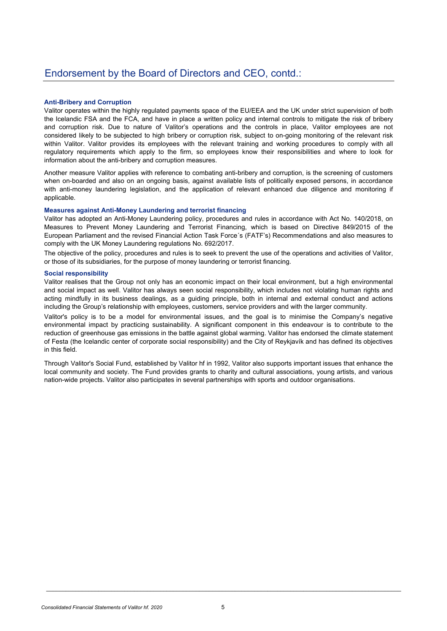### **Anti-Bribery and Corruption**

Valitor operates within the highly regulated payments space of the EU/EEA and the UK under strict supervision of both the Icelandic FSA and the FCA, and have in place a written policy and internal controls to mitigate the risk of bribery and corruption risk. Due to nature of Valitor's operations and the controls in place, Valitor employees are not considered likely to be subjected to high bribery or corruption risk, subject to on-going monitoring of the relevant risk within Valitor. Valitor provides its employees with the relevant training and working procedures to comply with all regulatory requirements which apply to the firm, so employees know their responsibilities and where to look for information about the anti-bribery and corruption measures.

Another measure Valitor applies with reference to combating anti-bribery and corruption, is the screening of customers when on-boarded and also on an ongoing basis, against available lists of politically exposed persons, in accordance with anti-money laundering legislation, and the application of relevant enhanced due diligence and monitoring if applicable.

### **Measures against Anti-Money Laundering and terrorist financing**

Valitor has adopted an Anti-Money Laundering policy, procedures and rules in accordance with Act No. 140/2018, on Measures to Prevent Money Laundering and Terrorist Financing, which is based on Directive 849/2015 of the European Parliament and the revised Financial Action Task Force´s (FATF's) Recommendations and also measures to comply with the UK Money Laundering regulations No. 692/2017.

The objective of the policy, procedures and rules is to seek to prevent the use of the operations and activities of Valitor, or those of its subsidiaries, for the purpose of money laundering or terrorist financing.

#### **Social responsibility**

Valitor realises that the Group not only has an economic impact on their local environment, but a high environmental and social impact as well. Valitor has always seen social responsibility, which includes not violating human rights and acting mindfully in its business dealings, as a guiding principle, both in internal and external conduct and actions including the Group's relationship with employees, customers, service providers and with the larger community.

Valitor's policy is to be a model for environmental issues, and the goal is to minimise the Company's negative environmental impact by practicing sustainability. A significant component in this endeavour is to contribute to the reduction of greenhouse gas emissions in the battle against global warming. Valitor has endorsed the climate statement of Festa (the Icelandic center of corporate social responsibility) and the City of Reykjavík and has defined its objectives in this field.

Through Valitor's Social Fund, established by Valitor hf in 1992, Valitor also supports important issues that enhance the local community and society. The Fund provides grants to charity and cultural associations, young artists, and various nation-wide projects. Valitor also participates in several partnerships with sports and outdoor organisations.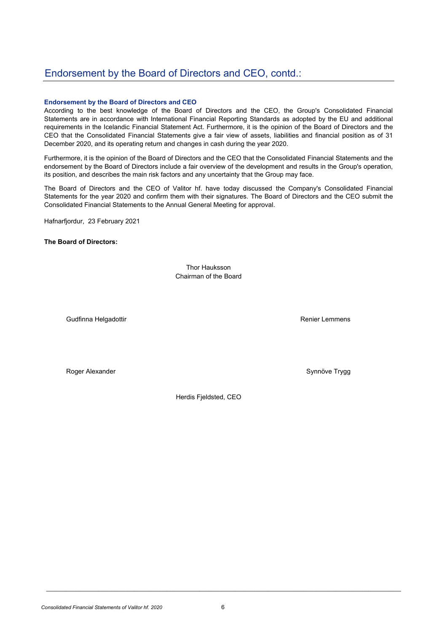## Endorsement by the Board of Directors and CEO, contd.:

### **Endorsement by the Board of Directors and CEO**

According to the best knowledge of the Board of Directors and the CEO, the Group's Consolidated Financial Statements are in accordance with International Financial Reporting Standards as adopted by the EU and additional requirements in the Icelandic Financial Statement Act. Furthermore, it is the opinion of the Board of Directors and the CEO that the Consolidated Financial Statements give a fair view of assets, liabilities and financial position as of 31 December 2020, and its operating return and changes in cash during the year 2020.

Furthermore, it is the opinion of the Board of Directors and the CEO that the Consolidated Financial Statements and the endorsement by the Board of Directors include a fair overview of the development and results in the Group's operation, its position, and describes the main risk factors and any uncertainty that the Group may face.

The Board of Directors and the CEO of Valitor hf. have today discussed the Company's Consolidated Financial Statements for the year 2020 and confirm them with their signatures. The Board of Directors and the CEO submit the Consolidated Financial Statements to the Annual General Meeting for approval.

Hafnarfjordur, 23 February 2021

**The Board of Directors:**

Thor Hauksson Chairman of the Board

Gudfinna Helgadottir **Renier Lemmens** Culture Controller Controller Renier Lemmens

Roger Alexander Synnöve Trygg and the Synnöve Trygg and the Synnöve Trygg and Synnöve Trygg

Herdis Fjeldsted, CEO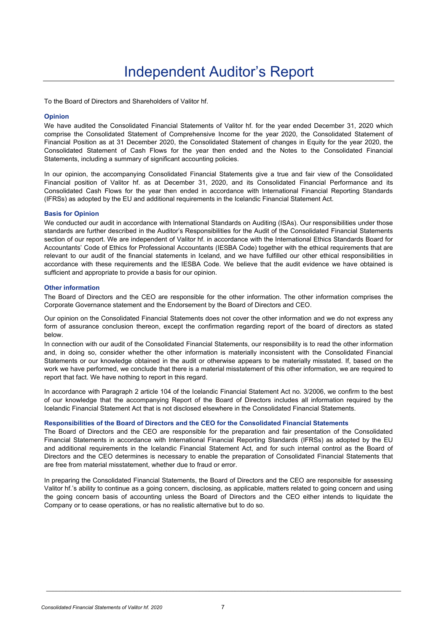## Independent Auditor's Report

To the Board of Directors and Shareholders of Valitor hf.

### **Opinion**

We have audited the Consolidated Financial Statements of Valitor hf. for the year ended December 31, 2020 which comprise the Consolidated Statement of Comprehensive Income for the year 2020, the Consolidated Statement of Financial Position as at 31 December 2020, the Consolidated Statement of changes in Equity for the year 2020, the Consolidated Statement of Cash Flows for the year then ended and the Notes to the Consolidated Financial Statements, including a summary of significant accounting policies.

In our opinion, the accompanying Consolidated Financial Statements give a true and fair view of the Consolidated Financial position of Valitor hf. as at December 31, 2020, and its Consolidated Financial Performance and its Consolidated Cash Flows for the year then ended in accordance with International Financial Reporting Standards (IFRSs) as adopted by the EU and additional requirements in the Icelandic Financial Statement Act.

#### **Basis for Opinion**

We conducted our audit in accordance with International Standards on Auditing (ISAs). Our responsibilities under those standards are further described in the Auditor's Responsibilities for the Audit of the Consolidated Financial Statements section of our report. We are independent of Valitor hf. in accordance with the International Ethics Standards Board for Accountants' Code of Ethics for Professional Accountants (IESBA Code) together with the ethical requirements that are relevant to our audit of the financial statements in Iceland, and we have fulfilled our other ethical responsibilities in accordance with these requirements and the IESBA Code. We believe that the audit evidence we have obtained is sufficient and appropriate to provide a basis for our opinion.

#### **Other information**

The Board of Directors and the CEO are responsible for the other information. The other information comprises the Corporate Governance statement and the Endorsement by the Board of Directors and CEO.

Our opinion on the Consolidated Financial Statements does not cover the other information and we do not express any form of assurance conclusion thereon, except the confirmation regarding report of the board of directors as stated below.

In connection with our audit of the Consolidated Financial Statements, our responsibility is to read the other information and, in doing so, consider whether the other information is materially inconsistent with the Consolidated Financial Statements or our knowledge obtained in the audit or otherwise appears to be materially misstated. If, based on the work we have performed, we conclude that there is a material misstatement of this other information, we are required to report that fact. We have nothing to report in this regard.

In accordance with Paragraph 2 article 104 of the Icelandic Financial Statement Act no. 3/2006, we confirm to the best of our knowledge that the accompanying Report of the Board of Directors includes all information required by the Icelandic Financial Statement Act that is not disclosed elsewhere in the Consolidated Financial Statements.

### **Responsibilities of the Board of Directors and the CEO for the Consolidated Financial Statements**

The Board of Directors and the CEO are responsible for the preparation and fair presentation of the Consolidated Financial Statements in accordance with International Financial Reporting Standards (IFRSs) as adopted by the EU and additional requirements in the Icelandic Financial Statement Act, and for such internal control as the Board of Directors and the CEO determines is necessary to enable the preparation of Consolidated Financial Statements that are free from material misstatement, whether due to fraud or error.

In preparing the Consolidated Financial Statements, the Board of Directors and the CEO are responsible for assessing Valitor hf.'s ability to continue as a going concern, disclosing, as applicable, matters related to going concern and using the going concern basis of accounting unless the Board of Directors and the CEO either intends to liquidate the Company or to cease operations, or has no realistic alternative but to do so.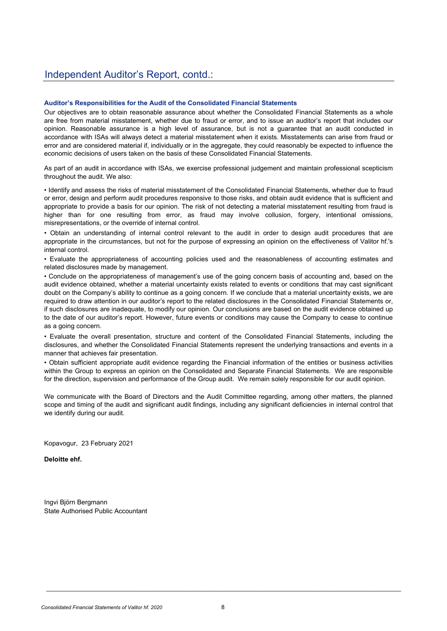### **Auditor's Responsibilities for the Audit of the Consolidated Financial Statements**

Our objectives are to obtain reasonable assurance about whether the Consolidated Financial Statements as a whole are free from material misstatement, whether due to fraud or error, and to issue an auditor's report that includes our opinion. Reasonable assurance is a high level of assurance, but is not a guarantee that an audit conducted in accordance with ISAs will always detect a material misstatement when it exists. Misstatements can arise from fraud or error and are considered material if, individually or in the aggregate, they could reasonably be expected to influence the economic decisions of users taken on the basis of these Consolidated Financial Statements.

As part of an audit in accordance with ISAs, we exercise professional judgement and maintain professional scepticism throughout the audit. We also:

• Identify and assess the risks of material misstatement of the Consolidated Financial Statements, whether due to fraud or error, design and perform audit procedures responsive to those risks, and obtain audit evidence that is sufficient and appropriate to provide a basis for our opinion. The risk of not detecting a material misstatement resulting from fraud is higher than for one resulting from error, as fraud may involve collusion, forgery, intentional omissions, misrepresentations, or the override of internal control.

• Obtain an understanding of internal control relevant to the audit in order to design audit procedures that are appropriate in the circumstances, but not for the purpose of expressing an opinion on the effectiveness of Valitor hf.'s internal control.

• Evaluate the appropriateness of accounting policies used and the reasonableness of accounting estimates and related disclosures made by management.

• Conclude on the appropriateness of management's use of the going concern basis of accounting and, based on the audit evidence obtained, whether a material uncertainty exists related to events or conditions that may cast significant doubt on the Company's ability to continue as a going concern. If we conclude that a material uncertainty exists, we are required to draw attention in our auditor's report to the related disclosures in the Consolidated Financial Statements or, if such disclosures are inadequate, to modify our opinion. Our conclusions are based on the audit evidence obtained up to the date of our auditor's report. However, future events or conditions may cause the Company to cease to continue as a going concern.

• Evaluate the overall presentation, structure and content of the Consolidated Financial Statements, including the disclosures, and whether the Consolidated Financial Statements represent the underlying transactions and events in a manner that achieves fair presentation.

• Obtain sufficient appropriate audit evidence regarding the Financial information of the entities or business activities within the Group to express an opinion on the Consolidated and Separate Financial Statements. We are responsible for the direction, supervision and performance of the Group audit. We remain solely responsible for our audit opinion.

We communicate with the Board of Directors and the Audit Committee regarding, among other matters, the planned scope and timing of the audit and significant audit findings, including any significant deficiencies in internal control that we identify during our audit.

Kopavogur, 23 February 2021

**Deloitte ehf.**

Ingvi Björn Bergmann State Authorised Public Accountant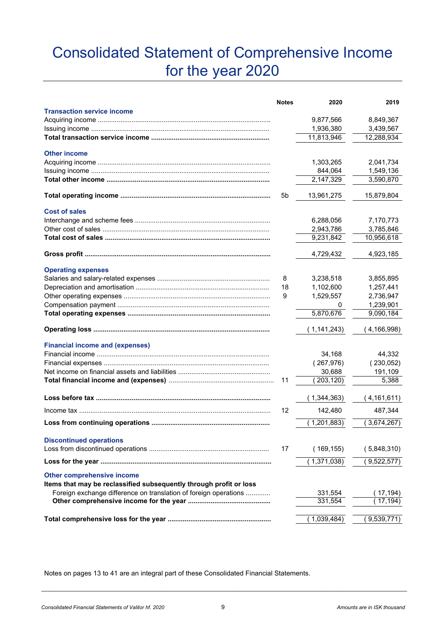# Consolidated Statement of Comprehensive Income for the year 2020

|                                                                    | <b>Notes</b> | 2020          | 2019          |
|--------------------------------------------------------------------|--------------|---------------|---------------|
| <b>Transaction service income</b>                                  |              |               |               |
|                                                                    |              | 9,877,566     | 8,849,367     |
|                                                                    |              | 1,936,380     | 3,439,567     |
|                                                                    |              | 11,813,946    | 12,288,934    |
| <b>Other income</b>                                                |              |               |               |
|                                                                    |              | 1,303,265     | 2,041,734     |
|                                                                    |              | 844,064       | 1,549,136     |
|                                                                    |              | 2,147,329     | 3,590,870     |
|                                                                    | 5b           | 13,961,275    | 15,879,804    |
| <b>Cost of sales</b>                                               |              |               |               |
|                                                                    |              | 6,288,056     | 7,170,773     |
|                                                                    |              | 2,943,786     | 3,785,846     |
| Total cost of sales …………………………………………………………………………                   |              | 9,231,842     | 10,956,618    |
|                                                                    |              | 4,729,432     | 4,923,185     |
| <b>Operating expenses</b>                                          |              |               |               |
|                                                                    | 8            | 3,238,518     | 3,855,895     |
|                                                                    | 18           | 1,102,600     | 1,257,441     |
|                                                                    | 9            | 1,529,557     | 2,736,947     |
|                                                                    |              | 0             | 1,239,901     |
|                                                                    |              | 5,870,676     | 9,090,184     |
|                                                                    |              | (1, 141, 243) | 4,166,998)    |
|                                                                    |              |               |               |
| <b>Financial income and (expenses)</b>                             |              |               | 44,332        |
|                                                                    |              | 34,168        |               |
|                                                                    |              | (267, 976)    | (230,052)     |
|                                                                    |              | 30,688        | 191,109       |
|                                                                    | 11           | (203, 120)    | 5,388         |
|                                                                    |              | (1,344,363)   | (4, 161, 611) |
| <u>Income tax …………………………………………………………………………………………</u>               | 12           | 142,480       | 487,344       |
|                                                                    |              | 1,201,883)    | 3,674,267)    |
| <b>Discontinued operations</b>                                     |              |               |               |
|                                                                    | 17           | (169, 155)    | (5,848,310)   |
|                                                                    |              | 1,371,038)    | 9,522,577     |
| <b>Other comprehensive income</b>                                  |              |               |               |
| Items that may be reclassified subsequently through profit or loss |              |               |               |
| Foreign exchange difference on translation of foreign operations   |              | 331,554       | ( 17,194)     |
|                                                                    |              | 331,554       | 17,194)       |
|                                                                    |              | 1,039,484)    | 9,539,771)    |
|                                                                    |              |               |               |

Notes on pages 13 to 41 are an integral part of these Consolidated Financial Statements.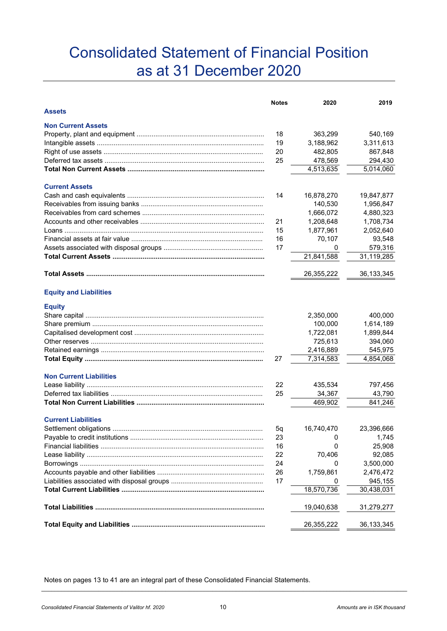# Consolidated Statement of Financial Position as at 31 December 2020

|                                                        | <b>Notes</b> | 2020       | 2019         |
|--------------------------------------------------------|--------------|------------|--------------|
| <b>Assets</b>                                          |              |            |              |
| <b>Non Current Assets</b>                              |              |            |              |
|                                                        | 18           | 363,299    | 540,169      |
|                                                        | 19           | 3,188,962  | 3,311,613    |
|                                                        | 20           | 482,805    | 867,848      |
|                                                        | 25           | 478,569    | 294,430      |
|                                                        |              | 4,513,635  | 5,014,060    |
| <b>Current Assets</b>                                  |              |            |              |
|                                                        | 14           | 16,878,270 | 19,847,877   |
|                                                        |              | 140,530    | 1,956,847    |
|                                                        |              | 1,666,072  | 4,880,323    |
|                                                        | 21           | 1,208,648  | 1,708,734    |
|                                                        | 15           | 1,877,961  | 2,052,640    |
| Financial assets at fair value …………………………………………………………… | 16           | 70,107     | 93,548       |
|                                                        | 17           | 0          | 579,316      |
|                                                        |              | 21,841,588 | 31,119,285   |
|                                                        |              |            |              |
|                                                        |              | 26,355,222 | 36, 133, 345 |
| <b>Equity and Liabilities</b>                          |              |            |              |
|                                                        |              |            |              |
| <b>Equity</b>                                          |              |            |              |
|                                                        |              | 2,350,000  | 400,000      |
|                                                        |              | 100,000    | 1,614,189    |
|                                                        |              | 1,722,081  | 1,899,844    |
|                                                        |              | 725,613    | 394,060      |
|                                                        |              | 2,416,889  | 545,975      |
|                                                        | 27           | 7,314,583  | 4,854,068    |
| <b>Non Current Liabilities</b>                         |              |            |              |
|                                                        | 22           | 435,534    | 797,456      |
|                                                        | 25           | 34,367     | 43,790       |
|                                                        |              | 469,902    | 841,246      |
| <b>Current Liabilities</b>                             |              |            |              |
|                                                        | 5q           | 16,740,470 | 23,396,666   |
|                                                        | 23           | 0          | 1,745        |
|                                                        | 16           | 0          | 25,908       |
|                                                        | 22           | 70,406     | 92,085       |
|                                                        | 24           | 0          | 3,500,000    |
|                                                        | 26           | 1,759,861  | 2,476,472    |
|                                                        | 17           |            | 945,155      |
|                                                        |              | 18,570,736 | 30,438,031   |
|                                                        |              |            |              |
|                                                        |              | 19,040,638 | 31,279,277   |
|                                                        |              | 26,355,222 | 36, 133, 345 |

Notes on pages 13 to 41 are an integral part of these Consolidated Financial Statements.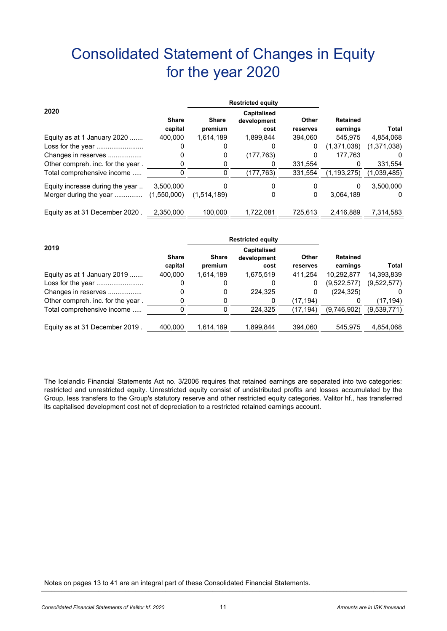# Consolidated Statement of Changes in Equity for the year 2020

|                                   |                         | <b>Restricted equity</b> |                                           |                   |                             |             |
|-----------------------------------|-------------------------|--------------------------|-------------------------------------------|-------------------|-----------------------------|-------------|
| 2020                              | <b>Share</b><br>capital | <b>Share</b><br>premium  | <b>Capitalised</b><br>development<br>cost | Other<br>reserves | <b>Retained</b><br>earnings | Total       |
| Equity as at 1 January 2020       | 400.000                 | 1,614,189                | 1.899.844                                 | 394.060           | 545.975                     | 4,854,068   |
| Loss for the year                 | 0                       | 0                        | 0                                         | 0                 | (1,371,038)                 | (1,371,038) |
| Changes in reserves               | 0                       | 0                        | (177, 763)                                | 0                 | 177.763                     | 0           |
| Other compreh. inc. for the year. | 0                       |                          |                                           | 331.554           |                             | 331,554     |
| Total comprehensive income        |                         | 0                        | (177,763)                                 | 331.554           | (1.193.275)                 | (1,039,485) |
| Equity increase during the year   | 3,500,000               |                          | 0                                         | 0                 | 0                           | 3.500.000   |
| Merger during the year            | (1,550,000)             | (1,514,189)              | 0                                         | 0                 | 3,064,189                   | 0           |
| Equity as at 31 December 2020.    | 2.350.000               | 100.000                  | 1.722.081                                 | 725.613           | 2.416.889                   | 7.314.583   |

|                                   |              |              | <b>Restricted equity</b>   |          |                 |             |
|-----------------------------------|--------------|--------------|----------------------------|----------|-----------------|-------------|
| 2019                              | <b>Share</b> | <b>Share</b> | Capitalised<br>development | Other    | <b>Retained</b> |             |
|                                   | capital      | premium      | cost                       | reserves | earnings        | Total       |
| Equity as at 1 January 2019       | 400,000      | 1,614,189    | 1,675,519                  | 411.254  | 10,292,877      | 14,393,839  |
| Loss for the year                 | 0            | 0            | O                          | 0        | (9,522,577)     | (9,522,577) |
| Changes in reserves               | 0            | 0            | 224,325                    | 0        | (224, 325)      |             |
| Other compreh. inc. for the year. | 0            | 0            | 0                          | (17,194) |                 | (17, 194)   |
| Total comprehensive income        | 0            |              | 224.325                    | (17,194) | (9,746,902)     | (9,539,771) |
| Equity as at 31 December 2019.    | 400,000      | 1,614,189    | 1,899,844                  | 394,060  | 545.975         | 4,854,068   |

The Icelandic Financial Statements Act no. 3/2006 requires that retained earnings are separated into two categories: restricted and unrestricted equity. Unrestricted equity consist of undistributed profits and losses accumulated by the Group, less transfers to the Group's statutory reserve and other restricted equity categories. Valitor hf., has transferred its capitalised development cost net of depreciation to a restricted retained earnings account.

 $\Box$ Notes on pages 13 to 41 are an integral part of these Consolidated Financial Statements.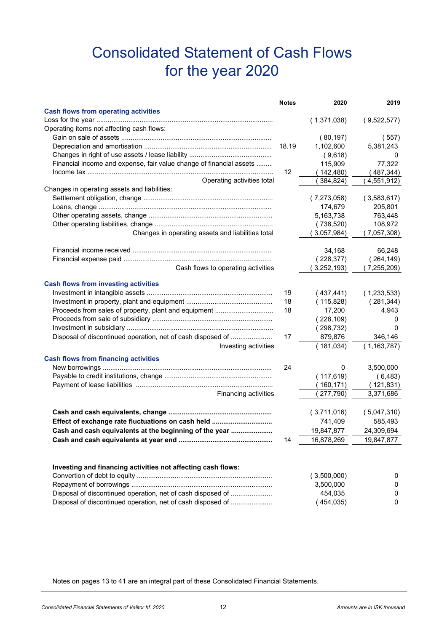# Consolidated Statement of Cash Flows for the year 2020

|                                                                     | <b>Notes</b> | 2020        | 2019          |
|---------------------------------------------------------------------|--------------|-------------|---------------|
| <b>Cash flows from operating activities</b>                         |              |             |               |
|                                                                     |              | (1,371,038) | (9,522,577)   |
| Operating items not affecting cash flows:                           |              |             |               |
|                                                                     |              | (80, 197)   | (557)         |
|                                                                     | 18.19        | 1,102,600   | 5,381,243     |
|                                                                     |              | (9,618)     | 0             |
| Financial income and expense, fair value change of financial assets |              | 115,909     | 77,322        |
|                                                                     | 12           | 142,480)    | (487,344)     |
| Operating activities total                                          |              | 384,824)    | 4,551,912)    |
| Changes in operating assets and liabilities:                        |              |             |               |
|                                                                     |              | (7,273,058) | (3,583,617)   |
|                                                                     |              | 174,679     | 205,801       |
|                                                                     |              | 5,163,738   | 763,448       |
|                                                                     |              | (738,520)   | 108,972       |
| Changes in operating assets and liabilities total                   |              | (3,057,984) | (7,057,308)   |
|                                                                     |              | 34,168      | 66,248        |
|                                                                     |              | (228, 377)  | (264,149)     |
| Cash flows to operating activities                                  |              | (3,252,193) | (7,255,209)   |
|                                                                     |              |             |               |
| <b>Cash flows from investing activities</b>                         |              |             |               |
|                                                                     | 19           | (437, 441)  | (1,233,533)   |
|                                                                     | 18           | (115, 828)  | (281, 344)    |
| Proceeds from sales of property, plant and equipment                | 18           | 17,200      | 4,943         |
|                                                                     |              | (226, 109)  | 0             |
|                                                                     |              | (298, 732)  | 0             |
| Disposal of discontinued operation, net of cash disposed of         | 17           | 879,876     | 346,146       |
| Investing activities                                                |              | 181,034)    | (1, 163, 787) |
| <b>Cash flows from financing activities</b>                         |              |             |               |
|                                                                     | 24           | 0           | 3,500,000     |
|                                                                     |              | (117, 619)  | (6, 483)      |
|                                                                     |              | 160,171)    | (121, 831)    |
| <b>Financing activities</b>                                         |              | 277,790)    | 3,371,686     |
|                                                                     |              |             |               |
|                                                                     |              | (3,711,016) | (5,047,310)   |
|                                                                     |              | 741,409     | 585,493       |
|                                                                     |              |             |               |
| Cash and cash equivalents at the beginning of the year              |              | 19,847,877  | 24,309,694    |
|                                                                     | 14           | 16,878,269  | 19,847,877    |
|                                                                     |              |             |               |
| Investing and financing activities not affecting cash flows:        |              |             |               |
|                                                                     |              | (3,500,000) | 0             |
|                                                                     |              | 3,500,000   | 0             |
| Disposal of discontinued operation, net of cash disposed of         |              | 454,035     | 0             |
| Disposal of discontinued operation, net of cash disposed of         |              | (454, 035)  | 0             |

Notes on pages 13 to 41 are an integral part of these Consolidated Financial Statements.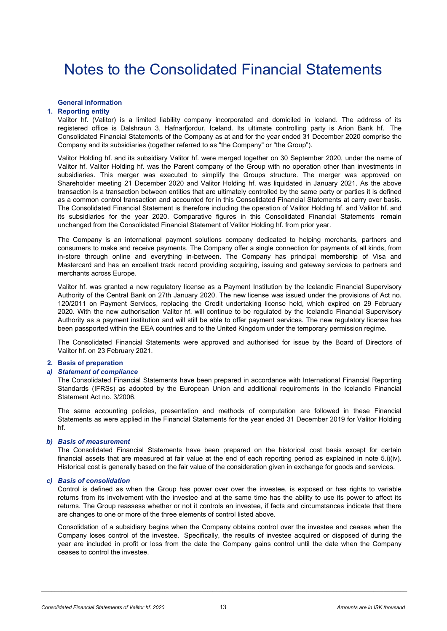### **General information**

### **1. Reporting entity**

Valitor hf. (Valitor) is a limited liability company incorporated and domiciled in Iceland. The address of its registered office is Dalshraun 3, Hafnarfjordur, Iceland. Its ultimate controlling party is Arion Bank hf. The Consolidated Financial Statements of the Company as at and for the year ended 31 December 2020 comprise the Company and its subsidiaries (together referred to as "the Company" or "the Group").

Valitor Holding hf. and its subsidiary Valitor hf. were merged together on 30 September 2020, under the name of Valitor hf. Valitor Holding hf. was the Parent company of the Group with no operation other than investments in subsidiaries. This merger was executed to simplify the Groups structure. The merger was approved on Shareholder meeting 21 December 2020 and Valitor Holding hf. was liquidated in January 2021. As the above transaction is a transaction between entities that are ultimately controlled by the same party or parties it is defined as a common control transaction and accounted for in this Consolidated Financial Statements at carry over basis. The Consolidated Financial Statement is therefore including the operation of Valitor Holding hf. and Valitor hf. and its subsidiaries for the year 2020. Comparative figures in this Consolidated Financial Statements remain unchanged from the Consolidated Financial Statement of Valitor Holding hf. from prior year.

The Company is an international payment solutions company dedicated to helping merchants, partners and consumers to make and receive payments. The Company offer a single connection for payments of all kinds, from in-store through online and everything in-between. The Company has principal membership of Visa and Mastercard and has an excellent track record providing acquiring, issuing and gateway services to partners and merchants across Europe.

Valitor hf. was granted a new regulatory license as a Payment Institution by the Icelandic Financial Supervisory Authority of the Central Bank on 27th January 2020. The new license was issued under the provisions of Act no. 120/2011 on Payment Services, replacing the Credit undertaking license held, which expired on 29 February 2020. With the new authorisation Valitor hf. will continue to be regulated by the Icelandic Financial Supervisory Authority as a payment institution and will still be able to offer payment services. The new regulatory license has been passported within the EEA countries and to the United Kingdom under the temporary permission regime.

The Consolidated Financial Statements were approved and authorised for issue by the Board of Directors of Valitor hf. on 23 February 2021.

### **2. Basis of preparation**

### *a) Statement of compliance*

The Consolidated Financial Statements have been prepared in accordance with International Financial Reporting Standards (IFRSs) as adopted by the European Union and additional requirements in the Icelandic Financial Statement Act no. 3/2006.

The same accounting policies, presentation and methods of computation are followed in these Financial Statements as were applied in the Financial Statements for the year ended 31 December 2019 for Valitor Holding hf.

### *b) Basis of measurement*

The Consolidated Financial Statements have been prepared on the historical cost basis except for certain financial assets that are measured at fair value at the end of each reporting period as explained in note 5.i)(iv). Historical cost is generally based on the fair value of the consideration given in exchange for goods and services.

### *c) Basis of consolidation*

Control is defined as when the Group has power over over the investee, is exposed or has rights to variable returns from its involvement with the investee and at the same time has the ability to use its power to affect its returns. The Group reassess whether or not it controls an investee, if facts and circumstances indicate that there are changes to one or more of the three elements of control listed above.

Consolidation of a subsidiary begins when the Company obtains control over the investee and ceases when the Company loses control of the investee. Specifically, the results of investee acquired or disposed of during the year are included in profit or loss from the date the Company gains control until the date when the Company ceases to control the investee.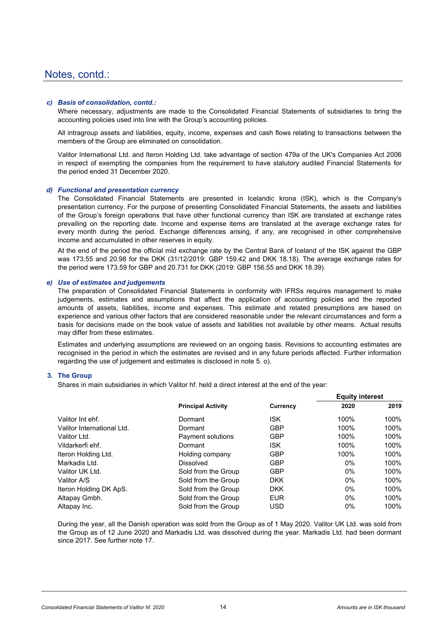### *c) Basis of consolidation, contd.:*

Where necessary, adjustments are made to the Consolidated Financial Statements of subsidiaries to bring the accounting policies used into line with the Group's accounting policies.

All intragroup assets and liabilities, equity, income, expenses and cash flows relating to transactions between the members of the Group are eliminated on consolidation.

Valitor International Ltd. and Iteron Holding Ltd. take advantage of section 479a of the UK's Companies Act 2006 in respect of exempting the companies from the requirement to have statutory audited Financial Statements for the period ended 31 December 2020.

### *d) Functional and presentation currency*

The Consolidated Financial Statements are presented in Icelandic krona (ISK), which is the Company's presentation currency. For the purpose of presenting Consolidated Financial Statements, the assets and liabilities of the Group's foreign operations that have other functional currency than ISK are translated at exchange rates prevailing on the reporting date. Income and expense items are translated at the average exchange rates for every month during the period. Exchange differences arising, if any, are recognised in other comprehensive income and accumulated in other reserves in equity.

At the end of the period the official mid exchange rate by the Central Bank of Iceland of the ISK against the GBP was 173.55 and 20.98 for the DKK (31/12/2019: GBP 159.42 and DKK 18.18). The average exchange rates for the period were 173.59 for GBP and 20.731 for DKK (2019: GBP 156.55 and DKK 18.39).

### *e) Use of estimates and judgements*

The preparation of Consolidated Financial Statements in conformity with IFRSs requires management to make judgements, estimates and assumptions that affect the application of accounting policies and the reported amounts of assets, liabilities, income and expenses. This estimate and related presumptions are based on experience and various other factors that are considered reasonable under the relevant circumstances and form a basis for decisions made on the book value of assets and liabilities not available by other means. Actual results may differ from these estimates.

Estimates and underlying assumptions are reviewed on an ongoing basis. Revisions to accounting estimates are recognised in the period in which the estimates are revised and in any future periods affected. Further information regarding the use of judgement and estimates is disclosed in note 5. o).

### **3. The Group**

Shares in main subsidiaries in which Valitor hf. held a direct interest at the end of the year:

|                             |                           |            | <b>Equity interest</b> |      |  |
|-----------------------------|---------------------------|------------|------------------------|------|--|
|                             | <b>Principal Activity</b> | Currency   | 2020                   | 2019 |  |
| Valitor Int ehf.            | Dormant                   | <b>ISK</b> | 100%                   | 100% |  |
| Valitor International I td. | Dormant                   | <b>GBP</b> | 100%                   | 100% |  |
| Valitor Ltd.                | Payment solutions         | <b>GBP</b> | 100%                   | 100% |  |
| Vildarkerfi ehf.            | Dormant                   | <b>ISK</b> | 100%                   | 100% |  |
| Iteron Holding Ltd.         | Holding company           | <b>GBP</b> | 100%                   | 100% |  |
| Markadis Ltd.               | <b>Dissolved</b>          | <b>GBP</b> | $0\%$                  | 100% |  |
| Valitor UK Ltd.             | Sold from the Group       | <b>GBP</b> | $0\%$                  | 100% |  |
| Valitor A/S                 | Sold from the Group       | <b>DKK</b> | $0\%$                  | 100% |  |
| Iteron Holding DK ApS.      | Sold from the Group       | <b>DKK</b> | $0\%$                  | 100% |  |
| Altapay Gmbh.               | Sold from the Group       | <b>EUR</b> | $0\%$                  | 100% |  |
| Altapay Inc.                | Sold from the Group       | USD        | 0%                     | 100% |  |

During the year, all the Danish operation was sold from the Group as of 1 May 2020. Valitor UK Ltd. was sold from the Group as of 12 June 2020 and Markadis Ltd. was dissolved during the year. Markadis Ltd. had been dormant since 2017. See further note 17.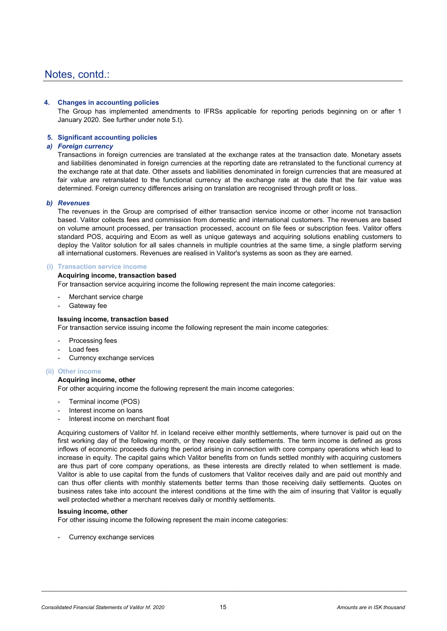### **4. Changes in accounting policies**

The Group has implemented amendments to IFRSs applicable for reporting periods beginning on or after 1 January 2020. See further under note 5.t).

### **5. Significant accounting policies**

### *a) Foreign currency*

Transactions in foreign currencies are translated at the exchange rates at the transaction date. Monetary assets and liabilities denominated in foreign currencies at the reporting date are retranslated to the functional currency at the exchange rate at that date. Other assets and liabilities denominated in foreign currencies that are measured at fair value are retranslated to the functional currency at the exchange rate at the date that the fair value was determined. Foreign currency differences arising on translation are recognised through profit or loss.

### *b) Revenues*

The revenues in the Group are comprised of either transaction service income or other income not transaction based. Valitor collects fees and commission from domestic and international customers. The revenues are based on volume amount processed, per transaction processed, account on file fees or subscription fees. Valitor offers standard POS, acquiring and Ecom as well as unique gateways and acquiring solutions enabling customers to deploy the Valitor solution for all sales channels in multiple countries at the same time, a single platform serving all international customers. Revenues are realised in Valitor's systems as soon as they are earned.

### **(i) Transaction service income**

### **Acquiring income, transaction based**

For transaction service acquiring income the following represent the main income categories:

- Merchant service charge
- Gateway fee

### **Issuing income, transaction based**

For transaction service issuing income the following represent the main income categories:

- Processing fees
- Load fees
- Currency exchange services

### **(ii) Other income**

### **Acquiring income, other**

For other acquiring income the following represent the main income categories:

- Terminal income (POS)
- Interest income on loans
- Interest income on merchant float

Acquiring customers of Valitor hf. in Iceland receive either monthly settlements, where turnover is paid out on the first working day of the following month, or they receive daily settlements. The term income is defined as gross inflows of economic proceeds during the period arising in connection with core company operations which lead to increase in equity. The capital gains which Valitor benefits from on funds settled monthly with acquiring customers are thus part of core company operations, as these interests are directly related to when settlement is made. Valitor is able to use capital from the funds of customers that Valitor receives daily and are paid out monthly and can thus offer clients with monthly statements better terms than those receiving daily settlements. Quotes on business rates take into account the interest conditions at the time with the aim of insuring that Valitor is equally well protected whether a merchant receives daily or monthly settlements.

#### **Issuing income, other**

For other issuing income the following represent the main income categories:

- Currency exchange services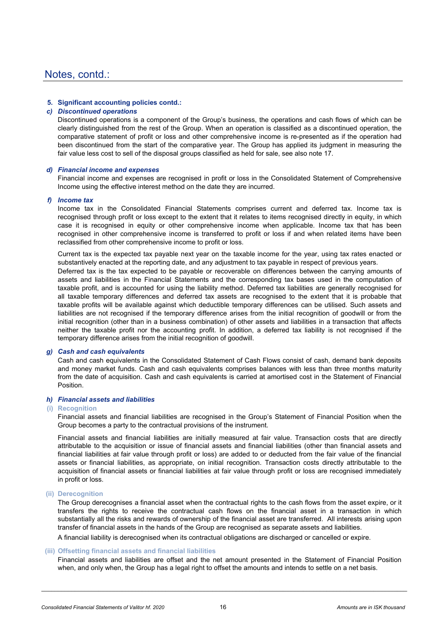### **5. Significant accounting policies contd.:**

### *c) Discontinued operations*

Discontinued operations is a component of the Group's business, the operations and cash flows of which can be clearly distinguished from the rest of the Group. When an operation is classified as a discontinued operation, the comparative statement of profit or loss and other comprehensive income is re-presented as if the operation had been discontinued from the start of the comparative year. The Group has applied its judgment in measuring the fair value less cost to sell of the disposal groups classified as held for sale, see also note 17.

### *d) Financial income and expenses*

Financial income and expenses are recognised in profit or loss in the Consolidated Statement of Comprehensive Income using the effective interest method on the date they are incurred.

### *f) Income tax*

Income tax in the Consolidated Financial Statements comprises current and deferred tax. Income tax is recognised through profit or loss except to the extent that it relates to items recognised directly in equity, in which case it is recognised in equity or other comprehensive income when applicable. Income tax that has been recognised in other comprehensive income is transferred to profit or loss if and when related items have been reclassified from other comprehensive income to profit or loss.

Current tax is the expected tax payable next year on the taxable income for the year, using tax rates enacted or substantively enacted at the reporting date, and any adjustment to tax payable in respect of previous years.

Deferred tax is the tax expected to be payable or recoverable on differences between the carrying amounts of assets and liabilities in the Financial Statements and the corresponding tax bases used in the computation of taxable profit, and is accounted for using the liability method. Deferred tax liabilities are generally recognised for all taxable temporary differences and deferred tax assets are recognised to the extent that it is probable that taxable profits will be available against which deductible temporary differences can be utilised. Such assets and liabilities are not recognised if the temporary difference arises from the initial recognition of goodwill or from the initial recognition (other than in a business combination) of other assets and liabilities in a transaction that affects neither the taxable profit nor the accounting profit. In addition, a deferred tax liability is not recognised if the temporary difference arises from the initial recognition of goodwill.

### *g) Cash and cash equivalents*

Cash and cash equivalents in the Consolidated Statement of Cash Flows consist of cash, demand bank deposits and money market funds. Cash and cash equivalents comprises balances with less than three months maturity from the date of acquisition. Cash and cash equivalents is carried at amortised cost in the Statement of Financial Position.

### *h) Financial assets and liabilities*

### **(i) Recognition**

Financial assets and financial liabilities are recognised in the Group's Statement of Financial Position when the Group becomes a party to the contractual provisions of the instrument.

Financial assets and financial liabilities are initially measured at fair value. Transaction costs that are directly attributable to the acquisition or issue of financial assets and financial liabilities (other than financial assets and financial liabilities at fair value through profit or loss) are added to or deducted from the fair value of the financial assets or financial liabilities, as appropriate, on initial recognition. Transaction costs directly attributable to the acquisition of financial assets or financial liabilities at fair value through profit or loss are recognised immediately in profit or loss.

### **(ii) Derecognition**

The Group derecognises a financial asset when the contractual rights to the cash flows from the asset expire, or it transfers the rights to receive the contractual cash flows on the financial asset in a transaction in which substantially all the risks and rewards of ownership of the financial asset are transferred. All interests arising upon transfer of financial assets in the hands of the Group are recognised as separate assets and liabilities.

A financial liability is derecognised when its contractual obligations are discharged or cancelled or expire.

### **(iii) Offsetting financial assets and financial liabilities**

Financial assets and liabilities are offset and the net amount presented in the Statement of Financial Position when, and only when, the Group has a legal right to offset the amounts and intends to settle on a net basis.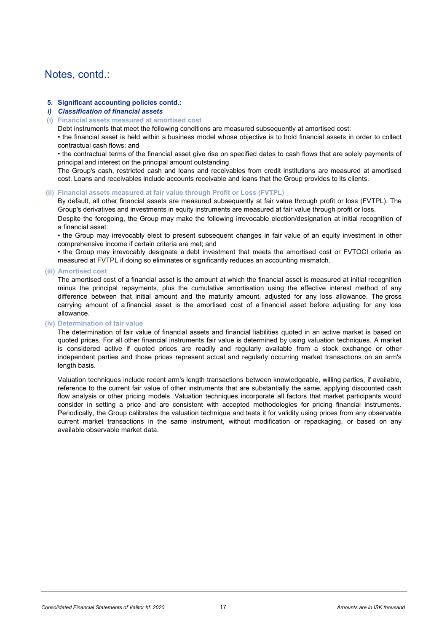### **5. Significant accounting policies contd.:**

### *i) Classification of financial assets*

### **(i) Financial assets measured at amortised cost**

Debt instruments that meet the following conditions are measured subsequently at amortised cost:

• the financial asset is held within a business model whose objective is to hold financial assets in order to collect contractual cash flows; and

• the contractual terms of the financial asset give rise on specified dates to cash flows that are solely payments of principal and interest on the principal amount outstanding.

The Group's cash, restricted cash and loans and receivables from credit institutions are measured at amortised cost. Loans and receivables include accounts receivable and loans that the Group provides to its clients.

### **(ii) Financial assets measured at fair value through Profit or Loss (FVTPL)**

By default, all other financial assets are measured subsequently at fair value through profit or loss (FVTPL). The Group's derivatives and investments in equity instruments are measured at fair value through profit or loss.

Despite the foregoing, the Group may make the following irrevocable election/designation at initial recognition of a financial asset:

• the Group may irrevocably elect to present subsequent changes in fair value of an equity investment in other comprehensive income if certain criteria are met; and

• the Group may irrevocably designate a debt investment that meets the amortised cost or FVTOCI criteria as measured at FVTPL if doing so eliminates or significantly reduces an accounting mismatch.

### **(iii) Amortised cost**

The amortised cost of a financial asset is the amount at which the financial asset is measured at initial recognition minus the principal repayments, plus the cumulative amortisation using the effective interest method of any difference between that initial amount and the maturity amount, adjusted for any loss allowance. The gross carrying amount of a financial asset is the amortised cost of a financial asset before adjusting for any loss allowance.

### **(iv) Determination of fair value**

The determination of fair value of financial assets and financial liabilities quoted in an active market is based on quoted prices. For all other financial instruments fair value is determined by using valuation techniques. A market is considered active if quoted prices are readily and regularly available from a stock exchange or other independent parties and those prices represent actual and regularly occurring market transactions on an arm's length basis.

Valuation techniques include recent arm's length transactions between knowledgeable, willing parties, if available, reference to the current fair value of other instruments that are substantially the same, applying discounted cash flow analysis or other pricing models. Valuation techniques incorporate all factors that market participants would consider in setting a price and are consistent with accepted methodologies for pricing financial instruments. Periodically, the Group calibrates the valuation technique and tests it for validity using prices from any observable current market transactions in the same instrument, without modification or repackaging, or based on any available observable market data.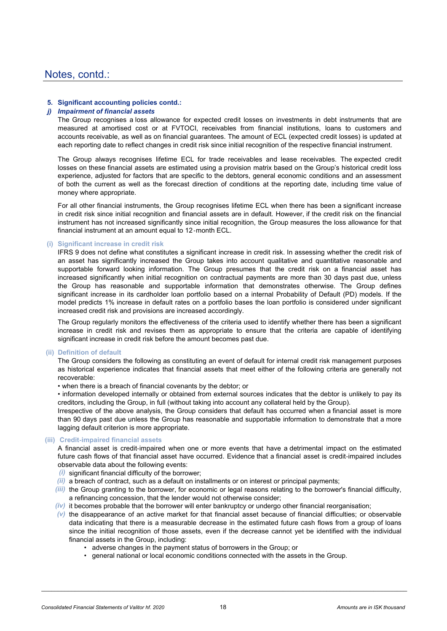### **5. Significant accounting policies contd.:**

### *j) Impairment of financial assets*

The Group recognises a loss allowance for expected credit losses on investments in debt instruments that are measured at amortised cost or at FVTOCI, receivables from financial institutions, loans to customers and accounts receivable, as well as on financial guarantees. The amount of ECL (expected credit losses) is updated at each reporting date to reflect changes in credit risk since initial recognition of the respective financial instrument.

The Group always recognises lifetime ECL for trade receivables and lease receivables. The expected credit losses on these financial assets are estimated using a provision matrix based on the Group's historical credit loss experience, adjusted for factors that are specific to the debtors, general economic conditions and an assessment of both the current as well as the forecast direction of conditions at the reporting date, including time value of money where appropriate.

For all other financial instruments, the Group recognises lifetime ECL when there has been a significant increase in credit risk since initial recognition and financial assets are in default. However, if the credit risk on the financial instrument has not increased significantly since initial recognition, the Group measures the loss allowance for that financial instrument at an amount equal to 12 -month ECL.

### **(i) Significant increase in credit risk**

IFRS 9 does not define what constitutes a significant increase in credit risk. In assessing whether the credit risk of an asset has significantly increased the Group takes into account qualitative and quantitative reasonable and supportable forward looking information. The Group presumes that the credit risk on a financial asset has increased significantly when initial recognition on contractual payments are more than 30 days past due, unless the Group has reasonable and supportable information that demonstrates otherwise. The Group defines significant increase in its cardholder loan portfolio based on a internal Probability of Default (PD) models. If the model predicts 1% increase in default rates on a portfolio bases the loan portfolio is considered under significant increased credit risk and provisions are increased accordingly.

The Group regularly monitors the effectiveness of the criteria used to identify whether there has been a significant increase in credit risk and revises them as appropriate to ensure that the criteria are capable of identifying significant increase in credit risk before the amount becomes past due.

### **(ii) Definition of default**

The Group considers the following as constituting an event of default for internal credit risk management purposes as historical experience indicates that financial assets that meet either of the following criteria are generally not recoverable:

• when there is a breach of financial covenants by the debtor; or

• information developed internally or obtained from external sources indicates that the debtor is unlikely to pay its creditors, including the Group, in full (without taking into account any collateral held by the Group).

Irrespective of the above analysis, the Group considers that default has occurred when a financial asset is more than 90 days past due unless the Group has reasonable and supportable information to demonstrate that a more lagging default criterion is more appropriate.

### **(iii) Credit**-**impaired financial assets**

A financial asset is credit-impaired when one or more events that have a detrimental impact on the estimated future cash flows of that financial asset have occurred. Evidence that a financial asset is credit-impaired includes observable data about the following events:

- *(i)* significant financial difficulty of the borrower;
- *(ii)* a breach of contract, such as a default on installments or on interest or principal payments;
- *(iii)* the Group granting to the borrower, for economic or legal reasons relating to the borrower's financial difficulty, a refinancing concession, that the lender would not otherwise consider;
- *(iv)* it becomes probable that the borrower will enter bankruptcy or undergo other financial reorganisation;
- *(v)* the disappearance of an active market for that financial asset because of financial difficulties; or observable data indicating that there is a measurable decrease in the estimated future cash flows from a group of loans since the initial recognition of those assets, even if the decrease cannot yet be identified with the individual financial assets in the Group, including:
	- adverse changes in the payment status of borrowers in the Group; or
	- general national or local economic conditions connected with the assets in the Group.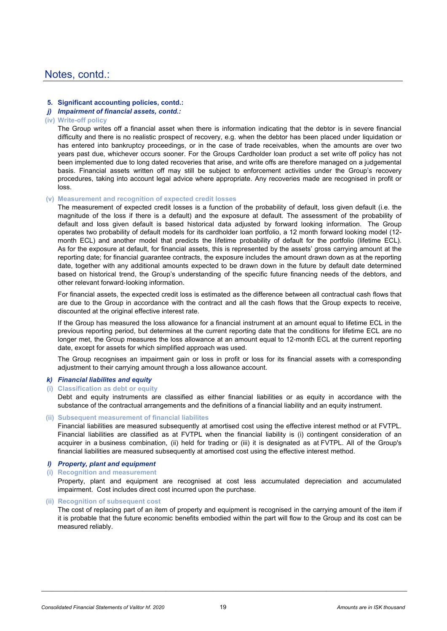### **5. Significant accounting policies, contd.:**

### *j) Impairment of financial assets, contd.:*

### **(iv) Write-off policy**

The Group writes off a financial asset when there is information indicating that the debtor is in severe financial difficulty and there is no realistic prospect of recovery, e.g. when the debtor has been placed under liquidation or has entered into bankruptcy proceedings, or in the case of trade receivables, when the amounts are over two years past due, whichever occurs sooner. For the Groups Cardholder loan product a set write off policy has not been implemented due to long dated recoveries that arise, and write offs are therefore managed on a judgemental basis. Financial assets written off may still be subject to enforcement activities under the Group's recovery procedures, taking into account legal advice where appropriate. Any recoveries made are recognised in profit or loss.

### **(v) Measurement and recognition of expected credit losses**

The measurement of expected credit losses is a function of the probability of default, loss given default (i.e. the magnitude of the loss if there is a default) and the exposure at default. The assessment of the probability of default and loss given default is based historical data adjusted by forward looking information. The Group operates two probability of default models for its cardholder loan portfolio, a 12 month forward looking model (12 month ECL) and another model that predicts the lifetime probability of default for the portfolio (lifetime ECL). As for the exposure at default, for financial assets, this is represented by the assets' gross carrying amount at the reporting date; for financial guarantee contracts, the exposure includes the amount drawn down as at the reporting date, together with any additional amounts expected to be drawn down in the future by default date determined based on historical trend, the Group's understanding of the specific future financing needs of the debtors, and other relevant forward-looking information.

For financial assets, the expected credit loss is estimated as the difference between all contractual cash flows that are due to the Group in accordance with the contract and all the cash flows that the Group expects to receive, discounted at the original effective interest rate.

If the Group has measured the loss allowance for a financial instrument at an amount equal to lifetime ECL in the previous reporting period, but determines at the current reporting date that the conditions for lifetime ECL are no longer met, the Group measures the loss allowance at an amount equal to 12-month ECL at the current reporting date, except for assets for which simplified approach was used.

The Group recognises an impairment gain or loss in profit or loss for its financial assets with a corresponding adjustment to their carrying amount through a loss allowance account.

### *k) Financial liabilites and equity*

**(i) Classification as debt or equity**

Debt and equity instruments are classified as either financial liabilities or as equity in accordance with the substance of the contractual arrangements and the definitions of a financial liability and an equity instrument.

### **(ii) Subsequent measurement of financial liabilites**

Financial liabilities are measured subsequently at amortised cost using the effective interest method or at FVTPL. Financial liabilities are classified as at FVTPL when the financial liability is (i) contingent consideration of an acquirer in a business combination, (ii) held for trading or (iii) it is designated as at FVTPL. All of the Group's financial liabilities are measured subsequently at amortised cost using the effective interest method.

### *l) Property, plant and equipment*

### **(i) Recognition and measurement**

Property, plant and equipment are recognised at cost less accumulated depreciation and accumulated impairment. Cost includes direct cost incurred upon the purchase.

**(ii) Recognition of subsequent cost**

The cost of replacing part of an item of property and equipment is recognised in the carrying amount of the item if it is probable that the future economic benefits embodied within the part will flow to the Group and its cost can be measured reliably.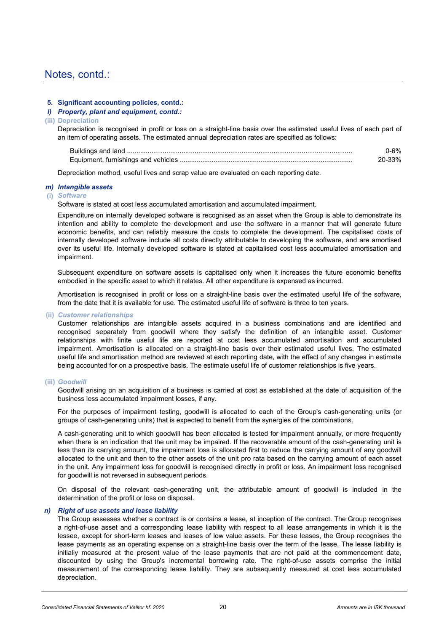### **5. Significant accounting policies, contd.:**

### *l) Property, plant and equipment, contd.:*

### **(iii) Depreciation**

Depreciation is recognised in profit or loss on a straight-line basis over the estimated useful lives of each part of an item of operating assets. The estimated annual depreciation rates are specified as follows:

| Buildings and land |  |
|--------------------|--|
|                    |  |

Depreciation method, useful lives and scrap value are evaluated on each reporting date.

#### *m) Intangible assets*

#### **(i)** *Software*

Software is stated at cost less accumulated amortisation and accumulated impairment.

Expenditure on internally developed software is recognised as an asset when the Group is able to demonstrate its intention and ability to complete the development and use the software in a manner that will generate future economic benefits, and can reliably measure the costs to complete the development. The capitalised costs of internally developed software include all costs directly attributable to developing the software, and are amortised over its useful life. Internally developed software is stated at capitalised cost less accumulated amortisation and impairment.

Subsequent expenditure on software assets is capitalised only when it increases the future economic benefits embodied in the specific asset to which it relates. All other expenditure is expensed as incurred.

Amortisation is recognised in profit or loss on a straight-line basis over the estimated useful life of the software, from the date that it is available for use. The estimated useful life of software is three to ten years.

#### **(ii)** *Customer relationships*

Customer relationships are intangible assets acquired in a business combinations and are identified and recognised separately from goodwill where they satisfy the definition of an intangible asset. Customer relationships with finite useful life are reported at cost less accumulated amortisation and accumulated impairment. Amortisation is allocated on a straight-line basis over their estimated useful lives. The estimated useful life and amortisation method are reviewed at each reporting date, with the effect of any changes in estimate being accounted for on a prospective basis. The estimate useful life of customer relationships is five years.

### **(iii)** *Goodwill*

Goodwill arising on an acquisition of a business is carried at cost as established at the date of acquisition of the business less accumulated impairment losses, if any.

For the purposes of impairment testing, goodwill is allocated to each of the Group's cash-generating units (or groups of cash-generating units) that is expected to benefit from the synergies of the combinations.

A cash-generating unit to which goodwill has been allocated is tested for impairment annually, or more frequently when there is an indication that the unit may be impaired. If the recoverable amount of the cash-generating unit is less than its carrying amount, the impairment loss is allocated first to reduce the carrying amount of any goodwill allocated to the unit and then to the other assets of the unit pro rata based on the carrying amount of each asset in the unit. Any impairment loss for goodwill is recognised directly in profit or loss. An impairment loss recognised for goodwill is not reversed in subsequent periods.

On disposal of the relevant cash-generating unit, the attributable amount of goodwill is included in the determination of the profit or loss on disposal.

### *n) Right of use assets and lease liability*

The Group assesses whether a contract is or contains a lease, at inception of the contract. The Group recognises a right-of-use asset and a corresponding lease liability with respect to all lease arrangements in which it is the lessee, except for short-term leases and leases of low value assets. For these leases, the Group recognises the lease payments as an operating expense on a straight-line basis over the term of the lease. The lease liability is initially measured at the present value of the lease payments that are not paid at the commencement date, discounted by using the Group's incremental borrowing rate. The right-of-use assets comprise the initial measurement of the corresponding lease liability. They are subsequently measured at cost less accumulated depreciation.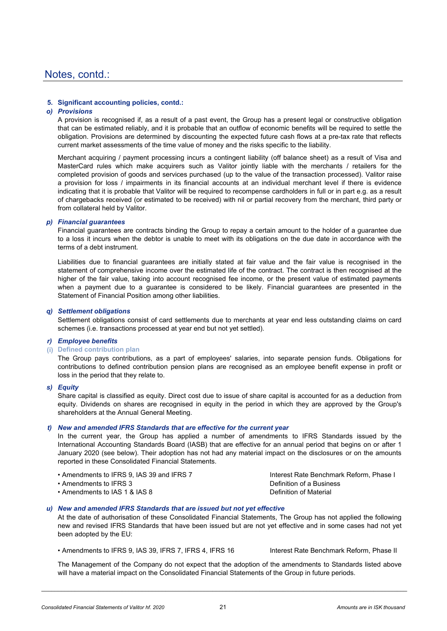### **5. Significant accounting policies, contd.:**

### *o) Provisions*

A provision is recognised if, as a result of a past event, the Group has a present legal or constructive obligation that can be estimated reliably, and it is probable that an outflow of economic benefits will be required to settle the obligation. Provisions are determined by discounting the expected future cash flows at a pre-tax rate that reflects current market assessments of the time value of money and the risks specific to the liability.

Merchant acquiring / payment processing incurs a contingent liability (off balance sheet) as a result of Visa and MasterCard rules which make acquirers such as Valitor jointly liable with the merchants / retailers for the completed provision of goods and services purchased (up to the value of the transaction processed). Valitor raise a provision for loss / impairments in its financial accounts at an individual merchant level if there is evidence indicating that it is probable that Valitor will be required to recompense cardholders in full or in part e.g. as a result of chargebacks received (or estimated to be received) with nil or partial recovery from the merchant, third party or from collateral held by Valitor.

### *p) Financial guarantees*

Financial guarantees are contracts binding the Group to repay a certain amount to the holder of a guarantee due to a loss it incurs when the debtor is unable to meet with its obligations on the due date in accordance with the terms of a debt instrument.

Liabilities due to financial guarantees are initially stated at fair value and the fair value is recognised in the statement of comprehensive income over the estimated life of the contract. The contract is then recognised at the higher of the fair value, taking into account recognised fee income, or the present value of estimated payments when a payment due to a guarantee is considered to be likely. Financial guarantees are presented in the Statement of Financial Position among other liabilities.

### *q) Settlement obligations*

Settlement obligations consist of card settlements due to merchants at year end less outstanding claims on card schemes (i.e. transactions processed at year end but not yet settled).

### *r) Employee benefits*

### **(i) Defined contribution plan**

The Group pays contributions, as a part of employees' salaries, into separate pension funds. Obligations for contributions to defined contribution pension plans are recognised as an employee benefit expense in profit or loss in the period that they relate to.

### *s) Equity*

Share capital is classified as equity. Direct cost due to issue of share capital is accounted for as a deduction from equity. Dividends on shares are recognised in equity in the period in which they are approved by the Group's shareholders at the Annual General Meeting.

### *t) New and amended IFRS Standards that are effective for the current year*

In the current year, the Group has applied a number of amendments to IFRS Standards issued by the International Accounting Standards Board (IASB) that are effective for an annual period that begins on or after 1 January 2020 (see below). Their adoption has not had any material impact on the disclosures or on the amounts reported in these Consolidated Financial Statements.

• Amendments to IFRS 9, IAS 39 and IFRS 7 Interest Rate Benchmark Reform, Phase I

• Amendments to IFRS 3 **Definition of a Business** 

• Amendments to IAS 1 & IAS 8 Definition of Material

### *u) New and amended IFRS Standards that are issued but not yet effective*

At the date of authorisation of these Consolidated Financial Statements, The Group has not applied the following new and revised IFRS Standards that have been issued but are not yet effective and in some cases had not yet been adopted by the EU:

• Amendments to IFRS 9, IAS 39, IFRS 7, IFRS 4, IFRS 16 Interest Rate Benchmark Reform, Phase II

The Management of the Company do not expect that the adoption of the amendments to Standards listed above will have a material impact on the Consolidated Financial Statements of the Group in future periods.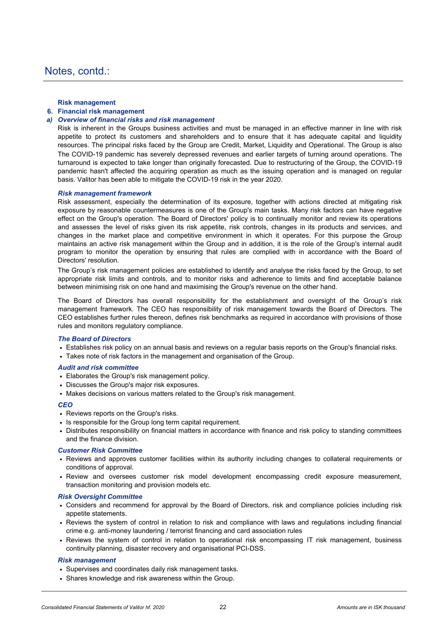### **Risk management**

### **6. Financial risk management**

### *a) Overview of financial risks and risk management*

Risk is inherent in the Groups business activities and must be managed in an effective manner in line with risk appetite to protect its customers and shareholders and to ensure that it has adequate capital and liquidity resources. The principal risks faced by the Group are Credit, Market, Liquidity and Operational. The Group is also The COVID-19 pandemic has severely depressed revenues and earlier targets of turning around operations. The turnaround is expected to take longer than originally forecasted. Due to restructuring of the Group, the COVID-19 pandemic hasn't affected the acquiring operation as much as the issuing operation and is managed on regular basis. Valitor has been able to mitigate the COVID-19 risk in the year 2020.

### *Risk management framework*

Risk assessment, especially the determination of its exposure, together with actions directed at mitigating risk exposure by reasonable countermeasures is one of the Group's main tasks. Many risk factors can have negative effect on the Group's operation. The Board of Directors' policy is to continually monitor and review its operations and assesses the level of risks given its risk appetite, risk controls, changes in its products and services, and changes in the market place and competitive environment in which it operates. For this purpose the Group maintains an active risk management within the Group and in addition, it is the role of the Group's internal audit program to monitor the operation by ensuring that rules are complied with in accordance with the Board of Directors' resolution.

The Group's risk management policies are established to identify and analyse the risks faced by the Group, to set appropriate risk limits and controls, and to monitor risks and adherence to limits and find acceptable balance between minimising risk on one hand and maximising the Group's revenue on the other hand.

The Board of Directors has overall responsibility for the establishment and oversight of the Group's risk management framework. The CEO has responsibility of risk management towards the Board of Directors. The CEO establishes further rules thereon, defines risk benchmarks as required in accordance with provisions of those rules and monitors regulatory compliance.

### *The Board of Directors*

- Establishes risk policy on an annual basis and reviews on a regular basis reports on the Group's financial risks.
- Takes note of risk factors in the management and organisation of the Group.

### *Audit and risk committee*

- Elaborates the Group's risk management policy.
- Discusses the Group's major risk exposures.
- Makes decisions on various matters related to the Group's risk management.

### *CEO*

- Reviews reports on the Group's risks.
- Is responsible for the Group long term capital requirement.
- Distributes responsibility on financial matters in accordance with finance and risk policy to standing committees and the finance division.

### *Customer Risk Committee*

- Reviews and approves customer facilities within its authority including changes to collateral requirements or conditions of approval.
- Review and oversees customer risk model development encompassing credit exposure measurement, transaction monitoring and provision models etc.

### *Risk Oversight Committee*

- Considers and recommend for approval by the Board of Directors, risk and compliance policies including risk appetite statements.
- Reviews the system of control in relation to risk and compliance with laws and regulations including financial crime e.g. anti-money laundering / terrorist financing and card association rules
- Reviews the system of control in relation to operational risk encompassing IT risk management, business continuity planning, disaster recovery and organisational PCI-DSS.

### *Risk management*

- Supervises and coordinates daily risk management tasks.
- Shares knowledge and risk awareness within the Group.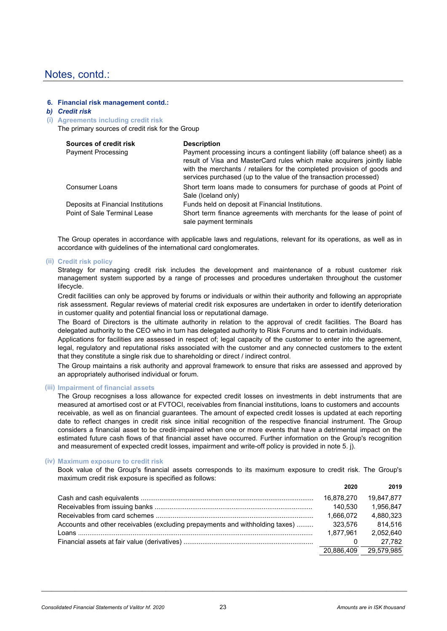### **6. Financial risk management contd.:**

### *b) Credit risk*

**(i) Agreements including credit risk**

The primary sources of credit risk for the Group

| Sources of credit risk             | <b>Description</b>                                                                                                                                                                                                                                                                                   |
|------------------------------------|------------------------------------------------------------------------------------------------------------------------------------------------------------------------------------------------------------------------------------------------------------------------------------------------------|
| <b>Payment Processing</b>          | Payment processing incurs a contingent liability (off balance sheet) as a<br>result of Visa and MasterCard rules which make acquirers jointly liable<br>with the merchants / retailers for the completed provision of goods and<br>services purchased (up to the value of the transaction processed) |
| <b>Consumer Loans</b>              | Short term loans made to consumers for purchase of goods at Point of<br>Sale (Iceland only)                                                                                                                                                                                                          |
| Deposits at Financial Institutions | Funds held on deposit at Financial Institutions.                                                                                                                                                                                                                                                     |
| Point of Sale Terminal Lease       | Short term finance agreements with merchants for the lease of point of<br>sale payment terminals                                                                                                                                                                                                     |

The Group operates in accordance with applicable laws and regulations, relevant for its operations, as well as in accordance with guidelines of the international card conglomerates.

### **(ii) Credit risk policy**

Strategy for managing credit risk includes the development and maintenance of a robust customer risk management system supported by a range of processes and procedures undertaken throughout the customer lifecycle.

Credit facilities can only be approved by forums or individuals or within their authority and following an appropriate risk assessment. Regular reviews of material credit risk exposures are undertaken in order to identify deterioration in customer quality and potential financial loss or reputational damage.

The Board of Directors is the ultimate authority in relation to the approval of credit facilities. The Board has delegated authority to the CEO who in turn has delegated authority to Risk Forums and to certain individuals.

Applications for facilities are assessed in respect of; legal capacity of the customer to enter into the agreement, legal, regulatory and reputational risks associated with the customer and any connected customers to the extent that they constitute a single risk due to shareholding or direct / indirect control.

The Group maintains a risk authority and approval framework to ensure that risks are assessed and approved by an appropriately authorised individual or forum.

### **(iii) Impairment of financial assets**

The Group recognises a loss allowance for expected credit losses on investments in debt instruments that are measured at amortised cost or at FVTOCI, receivables from financial institutions, loans to customers and accounts receivable, as well as on financial guarantees. The amount of expected credit losses is updated at each reporting date to reflect changes in credit risk since initial recognition of the respective financial instrument. The Group considers a financial asset to be credit-impaired when one or more events that have a detrimental impact on the estimated future cash flows of that financial asset have occurred. Further information on the Group's recognition and measurement of expected credit losses, impairment and write-off policy is provided in note 5. j).

### **(iv) Maximum exposure to credit risk**

Book value of the Group's financial assets corresponds to its maximum exposure to credit risk. The Group's maximum credit risk exposure is specified as follows:

|                                                                              | 2020       | 2019                  |
|------------------------------------------------------------------------------|------------|-----------------------|
|                                                                              | 16.878.270 | 19,847,877            |
|                                                                              | 140.530    | 1.956.847             |
|                                                                              | 1.666.072  | 4.880.323             |
| Accounts and other receivables (excluding prepayments and withholding taxes) | 323.576    | 814.516               |
|                                                                              | 1.877.961  | 2.052.640             |
|                                                                              | 0          | 27.782                |
|                                                                              |            | 20,886,409 29,579,985 |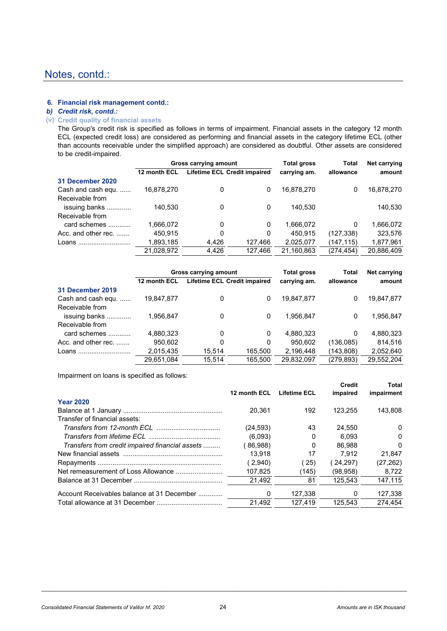### **6. Financial risk management contd.:**

### *b) Credit risk, contd.:*

### **(v) Credit quality of financial assets**

The Group's credit risk is specified as follows in terms of impairment. Financial assets in the category 12 month ECL (expected credit loss) are considered as performing and financial assets in the category lifetime ECL (other than accounts receivable under the simplified approach) are considered as doubtful. Other assets are considered to be credit-impaired.

|                     | Gross carrying amount |       | <b>Total gross</b>                  |              | <b>Total</b> | Net carrying |
|---------------------|-----------------------|-------|-------------------------------------|--------------|--------------|--------------|
|                     | 12 month ECL          |       | <b>Lifetime ECL Credit impaired</b> | carrying am. | allowance    | amount       |
| 31 December 2020    |                       |       |                                     |              |              |              |
| Cash and cash equ.  | 16,878,270            | 0     | 0                                   | 16,878,270   | 0            | 16,878,270   |
| Receivable from     |                       |       |                                     |              |              |              |
| issuing banks       | 140,530               | 0     | 0                                   | 140.530      |              | 140,530      |
| Receivable from     |                       |       |                                     |              |              |              |
| card schemes        | 1,666,072             | 0     | 0                                   | 1,666,072    | 0            | 1,666,072    |
| Acc. and other rec. | 450.915               | 0     | 0                                   | 450.915      | (127, 338)   | 323,576      |
| Loans               | 1,893,185             | 4,426 | 127,466                             | 2,025,077    | (147, 115)   | 1,877,961    |
|                     | 21,028,972            | 4,426 | 127,466                             | 21,160,863   | (274, 454)   | 20,886,409   |

|                     | Gross carrying amount |        |                                     | <b>Total gross</b> | Total      | Net carrying |
|---------------------|-----------------------|--------|-------------------------------------|--------------------|------------|--------------|
|                     | 12 month ECL          |        | <b>Lifetime ECL Credit impaired</b> | carrying am.       | allowance  | amount       |
| 31 December 2019    |                       |        |                                     |                    |            |              |
| Cash and cash equ.  | 19,847,877            | 0      | 0                                   | 19,847,877         | 0          | 19,847,877   |
| Receivable from     |                       |        |                                     |                    |            |              |
| issuing banks       | 1,956,847             | 0      | 0                                   | 1,956,847          | 0          | 1,956,847    |
| Receivable from     |                       |        |                                     |                    |            |              |
| card schemes        | 4,880,323             | 0      | 0                                   | 4,880,323          | 0          | 4,880,323    |
| Acc. and other rec. | 950,602               | 0      | 0                                   | 950,602            | (136,085)  | 814,516      |
| Loans               | 2,015,435             | 15.514 | 165,500                             | 2,196,448          | (143, 808) | 2,052,640    |
|                     | 29.651.084            | 15.514 | 165.500                             | 29.832.097         | (279, 893) | 29,552,204   |

Impairment on loans is specified as follows:

|                                                 | 12 month ECL | <b>Lifetime ECL</b> | Credit<br>impaired | Total<br>impairment |
|-------------------------------------------------|--------------|---------------------|--------------------|---------------------|
| <b>Year 2020</b>                                |              |                     |                    |                     |
|                                                 | 20.361       | 192                 | 123.255            | 143.808             |
| Transfer of financial assets:                   |              |                     |                    |                     |
|                                                 | (24,593)     | 43                  | 24.550             | 0                   |
|                                                 | (6.093)      | 0                   | 6.093              | O                   |
| Transfers from credit impaired financial assets | 86,988)      | 0                   | 86.988             | 0                   |
|                                                 | 13.918       | 17                  | 7.912              | 21.847              |
|                                                 | (2,940)      | 25)                 | (24,297)           | (27, 262)           |
|                                                 | 107,825      | (145)               | (98, 958)          | 8,722               |
|                                                 | 21,492       | 81                  | 125.543            | 147.115             |
| Account Receivables balance at 31 December      | 0            | 127.338             | 0                  | 127.338             |
|                                                 | 21.492       | 127.419             | 125.543            | 274.454             |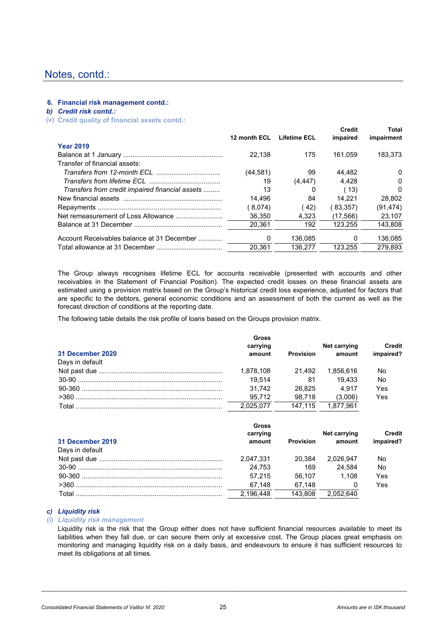### **6. Financial risk management contd.:**

### *b) Credit risk contd.:*

**(v) Credit quality of financial assets contd.:**

|                                                 | 12 month ECL | <b>Lifetime ECL</b> | <b>Credit</b><br>impaired | Total<br>impairment |
|-------------------------------------------------|--------------|---------------------|---------------------------|---------------------|
| <b>Year 2019</b>                                |              |                     |                           |                     |
|                                                 | 22.138       | 175                 | 161.059                   | 183.373             |
| Transfer of financial assets:                   |              |                     |                           |                     |
|                                                 | (44, 581)    | 99                  | 44.482                    | $\Omega$            |
|                                                 | 19           | (4, 447)            | 4.428                     | 0                   |
| Transfers from credit impaired financial assets | 13           | 0                   | (13)                      | $\Omega$            |
|                                                 | 14.496       | 84                  | 14.221                    | 28.802              |
|                                                 | 8,074        | (42)                | 83,357)                   | (91, 474)           |
|                                                 | 36.350       | 4.323               | (17.566)                  | 23.107              |
|                                                 | 20.361       | 192                 | 123.255                   | 143.808             |
| Account Receivables balance at 31 December      | 0            | 136,085             | 0                         | 136.085             |
|                                                 | 20.361       | 136.277             | 123.255                   | 279.893             |

The Group always recognises lifetime ECL for accounts receivable (presented with accounts and other receivables in the Statement of Financial Position). The expected credit losses on these financial assets are estimated using a provision matrix based on the Group's historical credit loss experience, adjusted for factors that are specific to the debtors, general economic conditions and an assessment of both the current as well as the forecast direction of conditions at the reporting date.

The following table details the risk profile of loans based on the Groups provision matrix.

| 31 December 2020<br>Days in default | Gross<br>carrying<br>amount | <b>Provision</b> | Net carrying<br>amount | <b>Credit</b><br>impaired? |
|-------------------------------------|-----------------------------|------------------|------------------------|----------------------------|
|                                     | 1,878,108                   | 21.492           | 1.856.616              | No                         |
|                                     | 19.514                      | 81               | 19.433                 | No                         |
|                                     | 31.742                      | 26.825           | 4.917                  | Yes                        |
|                                     | 95.712                      | 98.718           | (3,006)                | Yes                        |
| Total                               | 2.025.077                   | 147.115          | 1.877.961              |                            |
|                                     | Gross                       |                  |                        |                            |

| 31 December 2019 | uwas<br>carrying<br>amount | Provision | Net carrying<br>amount | <b>Credit</b><br>impaired? |
|------------------|----------------------------|-----------|------------------------|----------------------------|
| Days in default  |                            |           |                        |                            |
|                  | 2.047.331                  | 20.384    | 2.026.947              | No                         |
|                  | 24.753                     | 169       | 24.584                 | No                         |
|                  | 57.215                     | 56.107    | 1.108                  | Yes                        |
|                  | 67.148                     | 67.148    |                        | Yes                        |
|                  | 2.196.448                  | 143.808   | 2.052.640              |                            |

### *c) Liquidity risk*

### **(i)** *Liquidity risk management*

Liquidity risk is the risk that the Group either does not have sufficient financial resources available to meet its liabilities when they fall due, or can secure them only at excessive cost. The Group places great emphasis on monitoring and managing liquidity risk on a daily basis, and endeavours to ensure it has sufficient resources to meet its obligations at all times.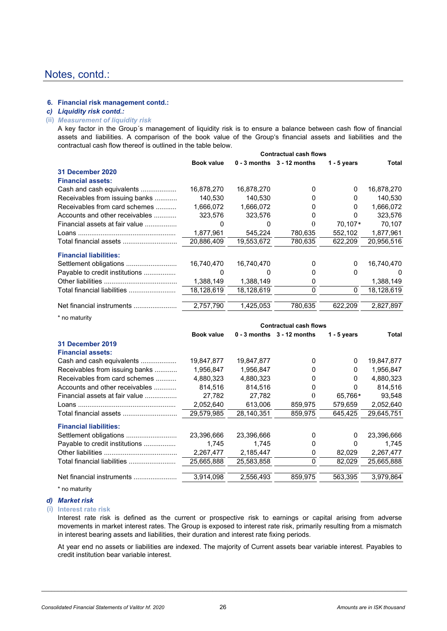### **6. Financial risk management contd.:**

### *c) Liquidity risk contd.:*

#### **(ii)** *Measurement of liquidity risk*

A key factor in the Group´s management of liquidity risk is to ensure a balance between cash flow of financial assets and liabilities. A comparison of the book value of the Group's financial assets and liabilities and the contractual cash flow thereof is outlined in the table below.

|                                | <b>Contractual cash flows</b> |            |                                |               |              |
|--------------------------------|-------------------------------|------------|--------------------------------|---------------|--------------|
|                                | <b>Book value</b>             |            | $0 - 3$ months $3 - 12$ months | $1 - 5$ years | Total        |
| 31 December 2020               |                               |            |                                |               |              |
| <b>Financial assets:</b>       |                               |            |                                |               |              |
| Cash and cash equivalents      | 16,878,270                    | 16,878,270 | 0                              | 0             | 16,878,270   |
| Receivables from issuing banks | 140,530                       | 140,530    |                                | 0             | 140,530      |
| Receivables from card schemes  | 1,666,072                     | 1,666,072  |                                | 0             | 1,666,072    |
| Accounts and other receivables | 323.576                       | 323,576    |                                |               | 323,576      |
| Financial assets at fair value |                               |            |                                | 70.107*       | 70.107       |
|                                | 1,877,961                     | 545,224    | 780,635                        | 552,102       | 1,877,961    |
| Total financial assets         | 20.886.409                    | 19,553,672 | 780.635                        | 622.209       | 20,956,516   |
| <b>Financial liabilities:</b>  |                               |            |                                |               |              |
|                                | 16,740,470                    | 16,740,470 | 0                              | 0             | 16,740,470   |
| Payable to credit institutions |                               |            |                                | 0             | $\mathbf{0}$ |
|                                | 1,388,149                     | 1,388,149  | 0                              |               | 1,388,149    |
| Total financial liabilities    | 18,128,619                    | 18,128,619 | 0                              | $\mathbf{0}$  | 18,128,619   |
| Net financial instruments      | 2,757,790                     | 1,425,053  | 780.635                        | 622.209       | 2,827,897    |
|                                |                               |            |                                |               |              |

\* no maturity

|                                | <b>Contractual cash flows</b> |            |                                |               |            |
|--------------------------------|-------------------------------|------------|--------------------------------|---------------|------------|
|                                | <b>Book value</b>             |            | $0 - 3$ months $3 - 12$ months | $1 - 5$ years | Total      |
| <b>31 December 2019</b>        |                               |            |                                |               |            |
| <b>Financial assets:</b>       |                               |            |                                |               |            |
| Cash and cash equivalents      | 19,847,877                    | 19,847,877 | 0                              | 0             | 19,847,877 |
| Receivables from issuing banks | 1,956,847                     | 1,956,847  | 0                              | 0             | 1,956,847  |
| Receivables from card schemes  | 4,880,323                     | 4,880,323  | 0                              | 0             | 4,880,323  |
| Accounts and other receivables | 814,516                       | 814,516    | 0                              | 0             | 814,516    |
| Financial assets at fair value | 27,782                        | 27.782     | $\theta$                       | 65,766*       | 93,548     |
|                                | 2,052,640                     | 613,006    | 859,975                        | 579,659       | 2,052,640  |
| Total financial assets         | 29,579,985                    | 28,140,351 | 859.975                        | 645.425       | 29.645.751 |
| <b>Financial liabilities:</b>  |                               |            |                                |               |            |
|                                | 23,396,666                    | 23,396,666 | 0                              | 0             | 23,396,666 |
| Payable to credit institutions | 1,745                         | 1,745      | 0                              | 0             | 1,745      |
|                                | 2,267,477                     | 2,185,447  | 0                              | 82,029        | 2,267,477  |
| Total financial liabilities    | 25,665,888                    | 25,583,858 | 0                              | 82.029        | 25,665,888 |
| Net financial instruments      | 3,914,098                     | 2,556,493  | 859,975                        | 563,395       | 3,979,864  |

\* no maturity

#### *d) Market risk*

**(i) Interest rate risk**

Interest rate risk is defined as the current or prospective risk to earnings or capital arising from adverse movements in market interest rates. The Group is exposed to interest rate risk, primarily resulting from a mismatch in interest bearing assets and liabilities, their duration and interest rate fixing periods.

At year end no assets or liabilities are indexed. The majority of Current assets bear variable interest. Payables to credit institution bear variable interest.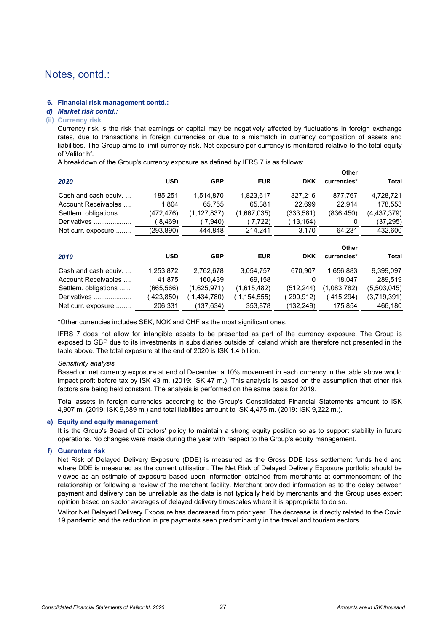### **6. Financial risk management contd.:**

### *d) Market risk contd.:*

### **(ii) Currency risk**

Currency risk is the risk that earnings or capital may be negatively affected by fluctuations in foreign exchange rates, due to transactions in foreign currencies or due to a mismatch in currency composition of assets and liabilities. The Group aims to limit currency risk. Net exposure per currency is monitored relative to the total equity of Valitor hf.

A breakdown of the Group's currency exposure as defined by IFRS 7 is as follows:

|                      |            |               |             |            | vuer        |              |
|----------------------|------------|---------------|-------------|------------|-------------|--------------|
| 2020                 | <b>USD</b> | <b>GBP</b>    | <b>EUR</b>  | <b>DKK</b> | currencies* | <b>Total</b> |
| Cash and cash equiv. | 185.251    | 1,514,870     | 1,823,617   | 327.216    | 877.767     | 4,728,721    |
| Account Receivables  | 1.804      | 65,755        | 65,381      | 22,699     | 22.914      | 178,553      |
| Settlem. obligations | (472, 476) | (1, 127, 837) | (1,667,035) | (333,581)  | (836, 450)  | (4,437,379)  |
| Derivatives          | 8,469)     | 7,940)        | 7,722)      | 13,164)    | 0           | (37,295)     |
| Net curr. exposure   | (293,890)  | 444,848       | 214.241     | 3,170      | 64.231      | 432,600      |
|                      |            |               |             |            | Other       |              |
| 2019                 | <b>USD</b> | <b>GBP</b>    | <b>EUR</b>  | <b>DKK</b> | currencies* | Total        |
|                      |            |               |             |            |             |              |

| Cash and cash equiv  | 1.253.872 | 2.762.678   | 3,054,757   | 670.907    | 1.656.883   | 9.399.097   |
|----------------------|-----------|-------------|-------------|------------|-------------|-------------|
| Account Receivables  | 41.875    | 160.439     | 69.158      |            | 18.047      | 289.519     |
| Settlem. obligations | (665.566) | (1.625.971) | (1,615,482) | (512.244)  | (1,083,782) | (5,503,045) |
| Derivatives          | 423.850)  | 1.434.780)  | 1,154,555)  | ′ 290,912) | 415.294)    | (3,719,391) |
| Net curr. exposure   | 206,331   | (137.634)   | 353,878     | (132.249)  | 175.854     | 466.180     |

\*Other currencies includes SEK, NOK and CHF as the most significant ones.

IFRS 7 does not allow for intangible assets to be presented as part of the currency exposure. The Group is exposed to GBP due to its investments in subsidiaries outside of Iceland which are therefore not presented in the table above. The total exposure at the end of 2020 is ISK 1.4 billion.

### *Sensitivity analysis*

Based on net currency exposure at end of December a 10% movement in each currency in the table above would impact profit before tax by ISK 43 m. (2019: ISK 47 m.). This analysis is based on the assumption that other risk factors are being held constant. The analysis is performed on the same basis for 2019.

Total assets in foreign currencies according to the Group's Consolidated Financial Statements amount to ISK 4,907 m. (2019: ISK 9,689 m.) and total liabilities amount to ISK 4,475 m. (2019: ISK 9,222 m.).

### **e) Equity and equity management**

It is the Group's Board of Directors' policy to maintain a strong equity position so as to support stability in future operations. No changes were made during the year with respect to the Group's equity management.

### **f) Guarantee risk**

Net Risk of Delayed Delivery Exposure (DDE) is measured as the Gross DDE less settlement funds held and where DDE is measured as the current utilisation. The Net Risk of Delayed Delivery Exposure portfolio should be viewed as an estimate of exposure based upon information obtained from merchants at commencement of the relationship or following a review of the merchant facility. Merchant provided information as to the delay between payment and delivery can be unreliable as the data is not typically held by merchants and the Group uses expert opinion based on sector averages of delayed delivery timescales where it is appropriate to do so.

Valitor Net Delayed Delivery Exposure has decreased from prior year. The decrease is directly related to the Covid 19 pandemic and the reduction in pre payments seen predominantly in the travel and tourism sectors.

**Other**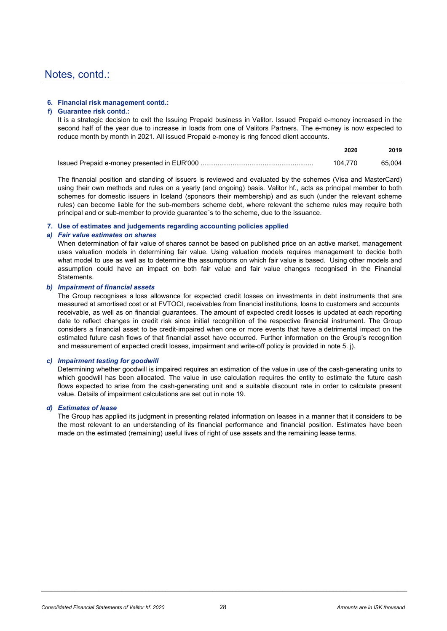### **6. Financial risk management contd.:**

### **f) Guarantee risk contd.:**

It is a strategic decision to exit the Issuing Prepaid business in Valitor. Issued Prepaid e-money increased in the second half of the year due to increase in loads from one of Valitors Partners. The e-money is now expected to reduce month by month in 2021. All issued Prepaid e-money is ring fenced client accounts.

| 104.770 | 65.004 |
|---------|--------|

The financial position and standing of issuers is reviewed and evaluated by the schemes (Visa and MasterCard) using their own methods and rules on a yearly (and ongoing) basis. Valitor hf., acts as principal member to both schemes for domestic issuers in Iceland (sponsors their membership) and as such (under the relevant scheme rules) can become liable for the sub-members scheme debt, where relevant the scheme rules may require both principal and or sub-member to provide guarantee´s to the scheme, due to the issuance.

**7. Use of estimates and judgements regarding accounting policies applied**

#### *a) Fair value estimates on shares*

When determination of fair value of shares cannot be based on published price on an active market, management uses valuation models in determining fair value. Using valuation models requires management to decide both what model to use as well as to determine the assumptions on which fair value is based. Using other models and assumption could have an impact on both fair value and fair value changes recognised in the Financial Statements.

#### *b) Impairment of financial assets*

The Group recognises a loss allowance for expected credit losses on investments in debt instruments that are measured at amortised cost or at FVTOCI, receivables from financial institutions, loans to customers and accounts receivable, as well as on financial guarantees. The amount of expected credit losses is updated at each reporting date to reflect changes in credit risk since initial recognition of the respective financial instrument. The Group considers a financial asset to be credit-impaired when one or more events that have a detrimental impact on the estimated future cash flows of that financial asset have occurred. Further information on the Group's recognition and measurement of expected credit losses, impairment and write-off policy is provided in note 5. j).

### *c) Impairment testing for goodwill*

Determining whether goodwill is impaired requires an estimation of the value in use of the cash-generating units to which goodwill has been allocated. The value in use calculation requires the entity to estimate the future cash flows expected to arise from the cash-generating unit and a suitable discount rate in order to calculate present value. Details of impairment calculations are set out in note 19.

### *d) Estimates of lease*

The Group has applied its judgment in presenting related information on leases in a manner that it considers to be the most relevant to an understanding of its financial performance and financial position. Estimates have been made on the estimated (remaining) useful lives of right of use assets and the remaining lease terms.

**2020 2019**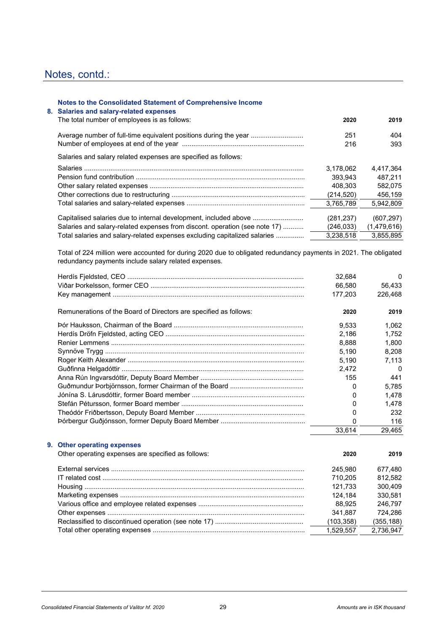### **Notes to the Consolidated Statement of Comprehensive Income**

|  |  |  |  |  | 8. Salaries and salary-related expenses |  |
|--|--|--|--|--|-----------------------------------------|--|
|--|--|--|--|--|-----------------------------------------|--|

| The total number of employees is as follows:                               | 2020       | 2019        |
|----------------------------------------------------------------------------|------------|-------------|
| Average number of full-time equivalent positions during the year           | 251        | 404         |
|                                                                            | 216        | 393         |
| Salaries and salary related expenses are specified as follows:             |            |             |
|                                                                            | 3.178.062  | 4.417.364   |
|                                                                            | 393.943    | 487.211     |
|                                                                            | 408.303    | 582.075     |
|                                                                            | (214,520)  | 456.159     |
|                                                                            | 3,765,789  | 5,942,809   |
| Capitalised salaries due to internal development, included above           | (281, 237) | (607, 297)  |
| Salaries and salary-related expenses from discont. operation (see note 17) | (246.033)  | (1,479,616) |
| Total salaries and salary-related expenses excluding capitalized salaries  | 3.238.518  | 3.855.895   |
|                                                                            |            |             |

Total of 224 million were accounted for during 2020 due to obligated redundancy payments in 2021. The obligated redundancy payments include salary related expenses.

|                                                                   | 32,684     | $\Omega$   |
|-------------------------------------------------------------------|------------|------------|
|                                                                   | 66,580     | 56,433     |
|                                                                   | 177,203    | 226,468    |
| Remunerations of the Board of Directors are specified as follows: | 2020       | 2019       |
|                                                                   | 9,533      | 1,062      |
|                                                                   | 2,186      | 1,752      |
|                                                                   | 8,888      | 1,800      |
|                                                                   | 5,190      | 8,208      |
|                                                                   | 5,190      | 7,113      |
|                                                                   | 2.472      | $\Omega$   |
|                                                                   | 155        | 441        |
|                                                                   | 0          | 5,785      |
|                                                                   | 0          | 1,478      |
|                                                                   | 0          | 1,478      |
|                                                                   | 0          | 232        |
|                                                                   | $\Omega$   | 116        |
|                                                                   | 33,614     | 29,465     |
| 9. Other operating expenses                                       |            |            |
| Other operating expenses are specified as follows:                | 2020       | 2019       |
|                                                                   | 245,980    | 677,480    |
|                                                                   | 710,205    | 812,582    |
|                                                                   | 121,733    | 300,409    |
|                                                                   | 124,184    | 330,581    |
|                                                                   | 88,925     | 246,797    |
|                                                                   | 341,887    | 724,286    |
|                                                                   | (103, 358) | (355, 188) |
|                                                                   | 1,529,557  | 2,736,947  |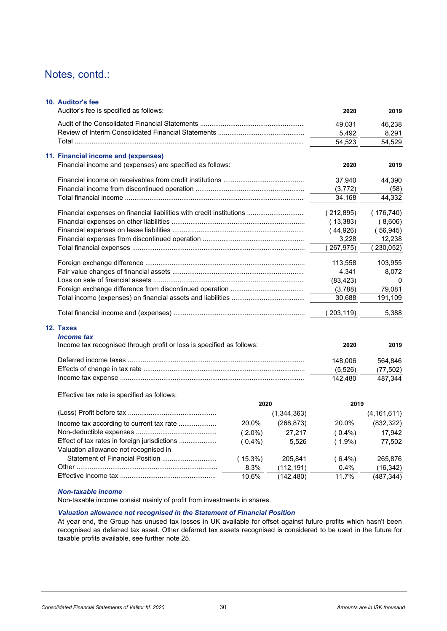| 10. Auditor's fee<br>Auditor's fee is specified as follows:           |            |             | 2020                | 2019                 |
|-----------------------------------------------------------------------|------------|-------------|---------------------|----------------------|
|                                                                       |            |             | 49,031              | 46,238               |
|                                                                       |            |             | 5,492               | 8,291                |
|                                                                       |            |             | 54,523              | 54,529               |
|                                                                       |            |             |                     |                      |
| 11. Financial income and (expenses)                                   |            |             |                     |                      |
| Financial income and (expenses) are specified as follows:             |            |             | 2020                | 2019                 |
|                                                                       |            |             | 37,940              | 44,390               |
|                                                                       |            |             | (3, 772)            | (58)                 |
|                                                                       |            |             | 34,168              | 44,332               |
|                                                                       |            |             |                     |                      |
| Financial expenses on financial liabilities with credit institutions  |            |             | (212,895)           | (176, 740)           |
|                                                                       |            |             | (13,383)            | (8,606)              |
|                                                                       |            |             | (44,926)            | (56, 945)            |
|                                                                       |            |             | 3,228               | 12,238               |
|                                                                       |            |             | 267,975)            | 230,052)             |
|                                                                       |            |             | 113,558             | 103,955              |
|                                                                       |            |             | 4,341               | 8,072                |
|                                                                       |            |             | (83, 423)           | 0                    |
|                                                                       |            |             | (3,788)             | 79,081               |
|                                                                       |            |             | 30,688              | 191,109              |
|                                                                       |            |             | 203,119)            | 5,388                |
| 12. Taxes                                                             |            |             |                     |                      |
| <i><b>Income tax</b></i>                                              |            |             |                     |                      |
| Income tax recognised through profit or loss is specified as follows: |            |             | 2020                | 2019                 |
|                                                                       |            |             |                     |                      |
|                                                                       |            |             | 148,006<br>(5, 526) | 564,846<br>(77, 502) |
|                                                                       |            |             | 142,480             | 487,344              |
|                                                                       |            |             |                     |                      |
| Effective tax rate is specified as follows:                           |            |             |                     |                      |
|                                                                       | 2020       |             | 2019                |                      |
|                                                                       |            | (1,344,363) |                     | (4, 161, 611)        |
| Income tax according to current tax rate                              | 20.0%      | (268, 873)  | 20.0%               | (832, 322)           |
|                                                                       | $(2.0\%)$  | 27,217      | $(0.4\%)$           | 17,942               |
| Effect of tax rates in foreign jurisdictions                          | $(0.4\%)$  | 5,526       | $(1.9\%)$           | 77,502               |
| Valuation allowance not recognised in                                 |            |             |                     |                      |
| Statement of Financial Position                                       | $(15.3\%)$ | 205,841     | $(6.4\%)$           | 265,876              |
|                                                                       | 8.3%       | (112, 191)  | 0.4%                | (16, 342)            |
|                                                                       | 10.6%      | (142, 480)  | 11.7%               | (487, 344)           |
|                                                                       |            |             |                     |                      |

### *Non-taxable income*

Non-taxable income consist mainly of profit from investments in shares.

### *Valuation allowance not recognised in the Statement of Financial Position*

At year end, the Group has unused tax losses in UK available for offset against future profits which hasn't been recognised as deferred tax asset. Other deferred tax assets recognised is considered to be used in the future for taxable profits available, see further note 25.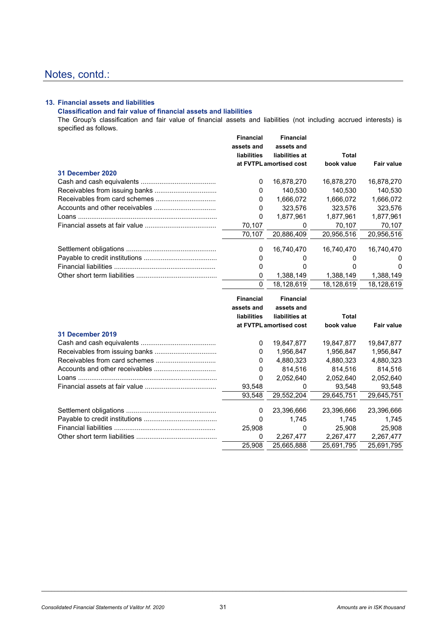### **13. Financial assets and liabilities**

### **Classification and fair value of financial assets and liabilities**

The Group's classification and fair value of financial assets and liabilities (not including accrued interests) is specified as follows.

|                  | <b>Financial</b> | <b>Financial</b>        |            |                   |
|------------------|------------------|-------------------------|------------|-------------------|
|                  | assets and       | assets and              |            |                   |
|                  | liabilities      | liabilities at          | Total      |                   |
|                  |                  | at FVTPL amortised cost | book value | <b>Fair value</b> |
| 31 December 2020 |                  |                         |            |                   |
|                  | 0                | 16,878,270              | 16,878,270 | 16,878,270        |
|                  | 0                | 140,530                 | 140,530    | 140,530           |
|                  | 0                | 1,666,072               | 1,666,072  | 1,666,072         |
|                  | 0                | 323,576                 | 323,576    | 323,576           |
|                  | 0                | 1.877.961               | 1.877.961  | 1,877,961         |
|                  | 70.107           | 0                       | 70.107     | 70,107            |
|                  | 70.107           | 20,886,409              | 20.956.516 | 20,956,516        |
|                  |                  |                         |            |                   |
|                  | 0                | 16.740.470              | 16.740.470 | 16.740.470        |
|                  | 0                | 0                       | O          | 0                 |
|                  | 0                | <sup>0</sup>            | O          | 0                 |
|                  | 0                | 1,388,149               | 1,388,149  | 1,388,149         |
|                  | 0                | 18.128.619              | 18.128.619 | 18,128,619        |

|                         | <b>Financial</b><br>assets and<br>liabilities | <b>Financial</b><br>assets and<br>liabilities at | Total      |                   |
|-------------------------|-----------------------------------------------|--------------------------------------------------|------------|-------------------|
|                         |                                               | at FVTPL amortised cost                          | book value | <b>Fair value</b> |
| <b>31 December 2019</b> |                                               |                                                  |            |                   |
|                         | 0                                             | 19.847.877                                       | 19.847.877 | 19,847,877        |
|                         | 0                                             | 1,956,847                                        | 1,956,847  | 1,956,847         |
|                         | 0                                             | 4,880,323                                        | 4,880,323  | 4,880,323         |
|                         | 0                                             | 814.516                                          | 814.516    | 814,516           |
|                         | 0                                             | 2.052.640                                        | 2.052.640  | 2,052,640         |
|                         | 93,548                                        | 0                                                | 93.548     | 93.548            |
|                         | 93,548                                        | 29,552,204                                       | 29,645,751 | 29,645,751        |
|                         | 0                                             | 23,396,666                                       | 23.396.666 | 23.396.666        |
|                         | 0                                             | 1.745                                            | 1.745      | 1.745             |
|                         | 25,908                                        | 0                                                | 25.908     | 25,908            |
|                         | 0                                             | 2,267,477                                        | 2,267,477  | 2,267,477         |
|                         | 25,908                                        | 25,665,888                                       | 25.691.795 | 25,691,795        |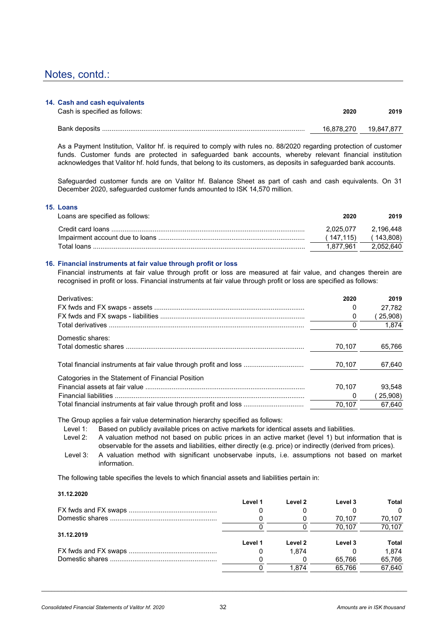| 14. Cash and cash equivalents<br>Cash is specified as follows: | 2020       | 2019       |
|----------------------------------------------------------------|------------|------------|
|                                                                | 16.878.270 | 19.847.877 |

As a Payment Institution, Valitor hf. is required to comply with rules no. 88/2020 regarding protection of customer funds. Customer funds are protected in safeguarded bank accounts, whereby relevant financial institution acknowledges that Valitor hf. hold funds, that belong to its customers, as deposits in safeguarded bank accounts.

Safeguarded customer funds are on Valitor hf. Balance Sheet as part of cash and cash equivalents. On 31 December 2020, safeguarded customer funds amounted to ISK 14,570 million.

### **15. Loans**

| Loans are specified as follows: | 2020      | 2019       |
|---------------------------------|-----------|------------|
|                                 | 2.025.077 | 2.196.448  |
|                                 | (147.115) | ั 143.808) |
| Total Ioans                     | 1.877.961 | 2.052.640  |

### **16. Financial instruments at fair value through profit or loss**

Financial instruments at fair value through profit or loss are measured at fair value, and changes therein are recognised in profit or loss. Financial instruments at fair value through profit or loss are specified as follows:

| Derivatives:                                                      | 2020<br>0 | 2019<br>27.782   |
|-------------------------------------------------------------------|-----------|------------------|
|                                                                   | 0         | 25,908)<br>1.874 |
| Domestic shares:                                                  | 0         |                  |
|                                                                   | 70,107    | 65,766           |
| Total financial instruments at fair value through profit and loss | 70.107    | 67,640           |
| Catogories in the Statement of Financial Position                 |           |                  |
|                                                                   | 70.107    | 93.548           |
|                                                                   | 0         | (25,908)         |
| Total financial instruments at fair value through profit and loss | 70.107    | 67.640           |

The Group applies a fair value determination hierarchy specified as follows:

Level 1: Based on publicly available prices on active markets for identical assets and liabilities.

Level 2: A valuation method not based on public prices in an active market (level 1) but information that is observable for the assets and liabilities, either directly (e.g. price) or indirectly (derived from prices).

Level 3: A valuation method with significant unobservabe inputs, i.e. assumptions not based on market information.

The following table specifies the levels to which financial assets and liabilities pertain in:

|            | Level 1 | Level 2 | Level 3 | Total  |
|------------|---------|---------|---------|--------|
|            |         |         |         |        |
|            |         |         | 70.107  | 70,107 |
|            |         |         | 70.107  | 70,107 |
| 31.12.2019 |         |         |         |        |
|            | Level 1 | Level 2 | Level 3 | Total  |
|            |         | 1.874   |         | 1.874  |
|            |         |         | 65.766  | 65,766 |
|            |         | 1.874   | 65.766  | 67,640 |
|            |         |         |         |        |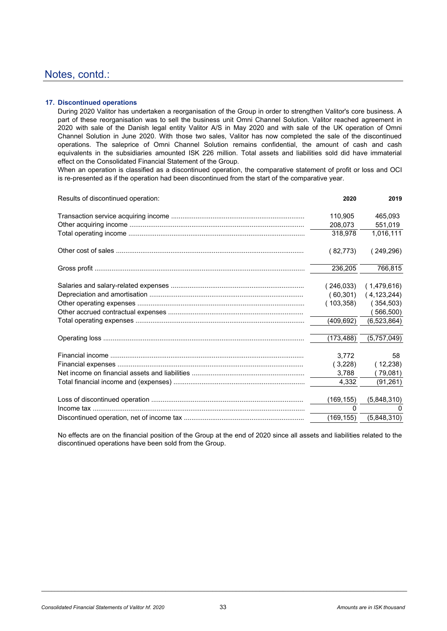### **17. Discontinued operations**

During 2020 Valitor has undertaken a reorganisation of the Group in order to strengthen Valitor's core business. A part of these reorganisation was to sell the business unit Omni Channel Solution. Valitor reached agreement in 2020 with sale of the Danish legal entity Valitor A/S in May 2020 and with sale of the UK operation of Omni Channel Solution in June 2020. With those two sales, Valitor has now completed the sale of the discontinued operations. The saleprice of Omni Channel Solution remains confidential, the amount of cash and cash equivalents in the subsidiaries amounted ISK 226 million. Total assets and liabilities sold did have immaterial effect on the Consolidated Financial Statement of the Group.

When an operation is classified as a discontinued operation, the comparative statement of profit or loss and OCI is re-presented as if the operation had been discontinued from the start of the comparative year.

| Results of discontinued operation: | 2020       | 2019          |
|------------------------------------|------------|---------------|
|                                    | 110.905    | 465,093       |
|                                    | 208,073    | 551,019       |
|                                    | 318.978    | 1,016,111     |
|                                    | (82,773)   | (249, 296)    |
|                                    | 236,205    | 766,815       |
|                                    | (246,033)  | (1,479,616)   |
|                                    | (60, 301)  | (4, 123, 244) |
|                                    | (103, 358) | (354,503)     |
|                                    |            | 566,500)      |
|                                    | (409, 692) | (6,523,864)   |
|                                    | (173, 488) | (5,757,049)   |
|                                    | 3.772      | 58            |
|                                    | (3,228)    | (12, 238)     |
|                                    | 3,788      | (79,081)      |
|                                    | 4,332      | (91, 261)     |
|                                    | (169, 155) | (5,848,310)   |
|                                    | 0          | 0             |
|                                    | (169, 155) | (5,848,310)   |

No effects are on the financial position of the Group at the end of 2020 since all assets and liabilities related to the discontinued operations have been sold from the Group.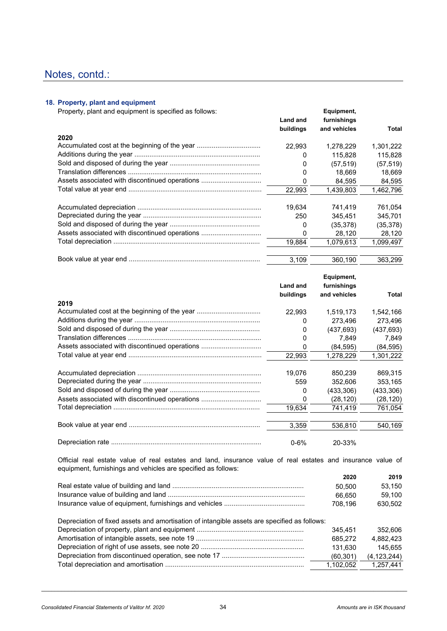### **18. Property, plant and equipment**

| Property, plant and equipment is specified as follows: | <b>Land and</b><br>buildings | Equipment,<br>furnishings<br>and vehicles | Total     |
|--------------------------------------------------------|------------------------------|-------------------------------------------|-----------|
| 2020                                                   |                              |                                           |           |
| Accumulated cost at the beginning of the year          | 22.993                       | 1,278,229                                 | 1,301,222 |
|                                                        |                              | 115,828                                   | 115,828   |
|                                                        |                              | (57, 519)                                 | (57, 519) |
|                                                        |                              | 18.669                                    | 18,669    |
| Assets associated with discontinued operations         | 0                            | 84,595                                    | 84,595    |
|                                                        | 22,993                       | 1,439,803                                 | 1,462,796 |
|                                                        | 19.634                       | 741.419                                   | 761,054   |
|                                                        | 250                          | 345.451                                   | 345,701   |
|                                                        | 0                            | (35, 378)                                 | (35, 378) |
| Assets associated with discontinued operations         | 0                            | 28.120                                    | 28,120    |
|                                                        | 19.884                       | 1.079.613                                 | 1.099.497 |
|                                                        |                              |                                           |           |
|                                                        | 3,109                        | 360.190                                   | 363.299   |

|                                                |                 | Equipment,   |            |
|------------------------------------------------|-----------------|--------------|------------|
|                                                | <b>Land and</b> | furnishings  |            |
|                                                | buildings       | and vehicles | Total      |
| 2019                                           |                 |              |            |
| Accumulated cost at the beginning of the year  | 22,993          | 1,519,173    | 1,542,166  |
|                                                | 0               | 273,496      | 273,496    |
|                                                | 0               | (437, 693)   | (437, 693) |
|                                                | 0               | 7.849        | 7,849      |
| Assets associated with discontinued operations | 0               | (84, 595)    | (84, 595)  |
|                                                | 22,993          | 1.278.229    | 1,301,222  |
|                                                | 19,076          | 850.239      | 869,315    |
|                                                | 559             | 352,606      | 353,165    |
|                                                | 0               | (433,306)    | (433, 306) |
| Assets associated with discontinued operations | 0               | (28, 120)    | (28, 120)  |
|                                                | 19,634          | 741,419      | 761,054    |
|                                                | 3.359           | 536.810      | 540,169    |
|                                                | $0 - 6%$        | 20-33%       |            |

Official real estate value of real estates and land, insurance value of real estates and insurance value of equipment, furnishings and vehicles are specified as follows:

|                                                                                              | 2020      | 2019          |
|----------------------------------------------------------------------------------------------|-----------|---------------|
|                                                                                              | 50.500    | 53.150        |
|                                                                                              | 66.650    | 59.100        |
|                                                                                              | 708.196   | 630.502       |
| Depreciation of fixed assets and amortisation of intangible assets are specified as follows: |           |               |
|                                                                                              | 345.451   | 352.606       |
|                                                                                              | 685.272   | 4.882.423     |
|                                                                                              | 131,630   | 145.655       |
|                                                                                              | (60, 301) | (4, 123, 244) |
|                                                                                              | 1.102.052 | 1.257.441     |
|                                                                                              |           |               |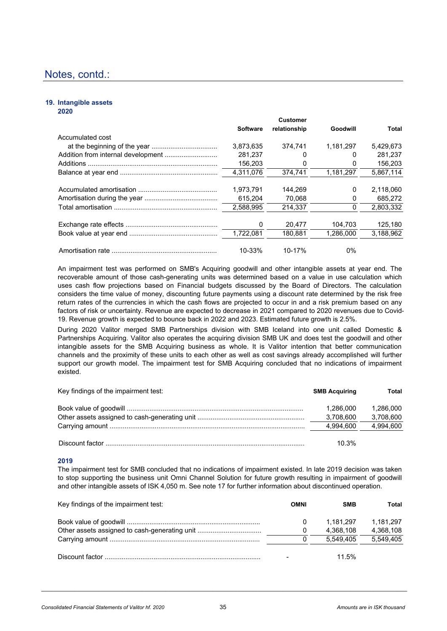### **19. Intangible assets**

### **2020**

|                  |                 | <b>Customer</b> |           |           |
|------------------|-----------------|-----------------|-----------|-----------|
|                  | <b>Software</b> | relationship    | Goodwill  | Total     |
| Accumulated cost |                 |                 |           |           |
|                  | 3,873,635       | 374.741         | 1,181,297 | 5,429,673 |
|                  | 281,237         | 0               | 0         | 281,237   |
|                  | 156,203         |                 | 0         | 156,203   |
|                  | 4.311.076       | 374.741         | 1.181.297 | 5.867.114 |
|                  | 1,973,791       | 144.269         | 0         | 2,118,060 |
|                  | 615.204         | 70,068          | 0         | 685,272   |
|                  | 2.588.995       | 214.337         | 0         | 2.803.332 |
|                  | 0               | 20.477          | 104.703   | 125,180   |
|                  | 1,722,081       | 180.881         | 1.286.000 | 3,188,962 |
|                  | 10-33%          | 10-17%          | 0%        |           |

An impairment test was performed on SMB's Acquiring goodwill and other intangible assets at year end. The recoverable amount of those cash-generating units was determined based on a value in use calculation which uses cash flow projections based on Financial budgets discussed by the Board of Directors. The calculation considers the time value of money, discounting future payments using a discount rate determined by the risk free return rates of the currencies in which the cash flows are projected to occur in and a risk premium based on any factors of risk or uncertainty. Revenue are expected to decrease in 2021 compared to 2020 revenues due to Covid-19. Revenue growth is expected to bounce back in 2022 and 2023. Estimated future growth is 2.5%.

During 2020 Valitor merged SMB Partnerships division with SMB Iceland into one unit called Domestic & Partnerships Acquiring. Valitor also operates the acquiring division SMB UK and does test the goodwill and other intangible assets for the SMB Acquiring business as whole. It is Valitor intention that better communication channels and the proximity of these units to each other as well as cost savings already accomplished will further support our growth model. The impairment test for SMB Acquiring concluded that no indications of impairment existed.

| Key findings of the impairment test: | <b>SMB Acquiring</b> | Total     |
|--------------------------------------|----------------------|-----------|
|                                      | 1.286.000            | 1.286.000 |
|                                      | 3,708,600            | 3,708,600 |
|                                      | 4.994.600            | 4.994.600 |
|                                      | 10.3%                |           |

### **2019**

The impairment test for SMB concluded that no indications of impairment existed. In late 2019 decision was taken to stop supporting the business unit Omni Channel Solution for future growth resulting in impairment of goodwill and other intangible assets of ISK 4,050 m. See note 17 for further information about discontinued operation.

| Key findings of the impairment test:          | OMNI | <b>SMB</b> | Total     |
|-----------------------------------------------|------|------------|-----------|
|                                               |      | 1.181.297  | 1.181.297 |
| Other assets assigned to cash-generating unit |      | 4,368,108  | 4,368,108 |
|                                               |      | 5.549.405  | 5,549,405 |
|                                               |      | 11.5%      |           |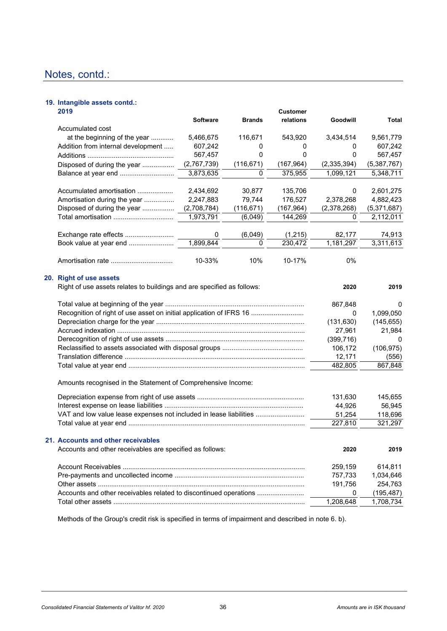### **19. Intangible assets contd.:**

| 2019                                                                                              |                 |            | <b>Customer</b> |             |             |
|---------------------------------------------------------------------------------------------------|-----------------|------------|-----------------|-------------|-------------|
|                                                                                                   | <b>Software</b> | Brands     | relations       | Goodwill    | Total       |
| Accumulated cost                                                                                  |                 |            |                 |             |             |
| at the beginning of the year                                                                      | 5,466,675       | 116,671    | 543,920         | 3,434,514   | 9,561,779   |
| Addition from internal development                                                                | 607,242         | 0          | 0               | 0           | 607,242     |
|                                                                                                   | 567,457         | 0          | 0               | 0           | 567,457     |
| Disposed of during the year                                                                       | (2,767,739)     | (116, 671) | (167, 964)      | (2,335,394) | (5,387,767) |
| Balance at year end                                                                               | 3,873,635       | 0          | 375,955         | 1,099,121   | 5,348,711   |
| Accumulated amortisation                                                                          | 2,434,692       | 30,877     | 135,706         | 0           | 2,601,275   |
| Amortisation during the year                                                                      | 2,247,883       | 79,744     | 176,527         | 2,378,268   | 4,882,423   |
| Disposed of during the year                                                                       | (2,708,784)     | (116, 671) | (167, 964)      | (2,378,268) | (5,371,687) |
| Total amortisation                                                                                | 1,973,791       | (6,049)    | 144,269         | 0           | 2,112,011   |
| Exchange rate effects                                                                             | 0               | (6,049)    | (1,215)         | 82,177      | 74,913      |
| Book value at year end                                                                            | 1,899,844       | 0          | 230,472         | 1,181,297   | 3,311,613   |
| Amortisation rate                                                                                 | 10-33%          | 10%        | 10-17%          | 0%          |             |
| 20. Right of use assets<br>Right of use assets relates to buildings and are specified as follows: |                 |            |                 | 2020        | 2019        |
|                                                                                                   |                 |            |                 | 867,848     | 0           |
| Recognition of right of use asset on initial application of IFRS 16                               |                 |            |                 | 0           | 1,099,050   |
|                                                                                                   |                 |            |                 | (131, 630)  | (145, 655)  |
|                                                                                                   |                 |            |                 | 27,961      | 21,984      |
|                                                                                                   |                 |            |                 | (399, 716)  | 0           |
|                                                                                                   |                 |            |                 | 106,172     | (106, 975)  |
|                                                                                                   |                 |            |                 | 12,171      | (556)       |
|                                                                                                   |                 |            |                 | 482,805     | 867,848     |
| Amounts recognised in the Statement of Comprehensive Income:                                      |                 |            |                 |             |             |
|                                                                                                   |                 |            |                 | 131,630     | 145,655     |
|                                                                                                   |                 |            |                 | 44,926      | 56,945      |
| VAT and low value lease expenses not included in lease liabilities                                |                 |            |                 | 51,254      | 118,696     |
|                                                                                                   |                 |            |                 | 227,810     | 321,297     |
| 21. Accounts and other receivables                                                                |                 |            |                 |             |             |
| Accounts and other receivables are specified as follows:                                          |                 |            |                 | 2020        | 2019        |
|                                                                                                   |                 |            |                 | 259,159     | 614,811     |
|                                                                                                   |                 |            |                 | 757,733     | 1,034,646   |
|                                                                                                   |                 |            |                 | 191,756     | 254,763     |
| Accounts and other receivables related to discontinued operations                                 |                 |            |                 | 0           | (195, 487)  |
|                                                                                                   |                 |            |                 | 1,208,648   | 1,708,734   |

Methods of the Group's credit risk is specified in terms of impairment and described in note 6. b).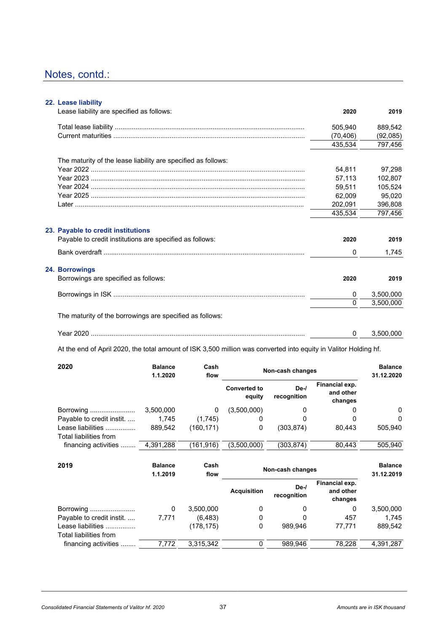### **22. Lease liability**

| Lease liability are specified as follows:                     | 2020      | 2019      |
|---------------------------------------------------------------|-----------|-----------|
|                                                               | 505,940   | 889,542   |
|                                                               | (70, 406) | (92,085)  |
|                                                               | 435.534   | 797,456   |
| The maturity of the lease liability are specified as follows: |           |           |
|                                                               | 54,811    | 97,298    |
|                                                               | 57,113    | 102,807   |
|                                                               | 59,511    | 105,524   |
|                                                               | 62,009    | 95,020    |
|                                                               | 202.091   | 396,808   |
|                                                               | 435,534   | 797,456   |
| 23. Payable to credit institutions                            |           |           |
| Payable to credit institutions are specified as follows:      | 2020      | 2019      |
|                                                               | $\Omega$  | 1,745     |
| 24. Borrowings                                                |           |           |
| Borrowings are specified as follows:                          | 2020      | 2019      |
|                                                               | 0         | 3.500.000 |
|                                                               | $\Omega$  | 3.500.000 |
| The maturity of the borrowings are specified as follows:      |           |           |
|                                                               | 0         | 3,500,000 |

At the end of April 2020, the total amount of ISK 3,500 million was converted into equity in Valitor Holding hf.

| 2020                                        | <b>Balance</b><br>1.1.2020 | Cash<br>flow | Non-cash changes              | <b>Balance</b><br>31.12.2020 |                                        |         |
|---------------------------------------------|----------------------------|--------------|-------------------------------|------------------------------|----------------------------------------|---------|
|                                             |                            |              | <b>Converted to</b><br>equity | $De-I$<br>recognition        | Financial exp.<br>and other<br>changes |         |
| Borrowing                                   | 3,500,000                  | 0            | (3,500,000)                   | 0                            | 0                                      | 0       |
| Payable to credit instit.                   | 1.745                      | (1,745)      | 0                             | 0                            | 0                                      | 0       |
| Lease liabilities<br>Total liabilities from | 889.542                    | (160,171)    | 0                             | (303, 874)                   | 80.443                                 | 505.940 |
| financing activities                        | 4,391,288                  | (161, 916)   | (3,500,000)                   | (303, 874)                   | 80,443                                 | 505,940 |

| 2019                                        | <b>Balance</b><br>1.1.2019 | Cash<br>flow |                    | Non-cash changes      |                                        | <b>Balance</b><br>31.12.2019 |
|---------------------------------------------|----------------------------|--------------|--------------------|-----------------------|----------------------------------------|------------------------------|
|                                             |                            |              | <b>Acquisition</b> | $De-I$<br>recognition | Financial exp.<br>and other<br>changes |                              |
| Borrowing                                   | 0                          | 3.500.000    | 0                  |                       | 0                                      | 3,500,000                    |
| Payable to credit instit.                   | 7.771                      | (6, 483)     | 0                  |                       | 457                                    | 1.745                        |
| Lease liabilities<br>Total liabilities from |                            | (178, 175)   | 0                  | 989.946               | 77.771                                 | 889.542                      |
| financing activities                        | 7.772                      | 3,315,342    | 0                  | 989,946               | 78.228                                 | 4,391,287                    |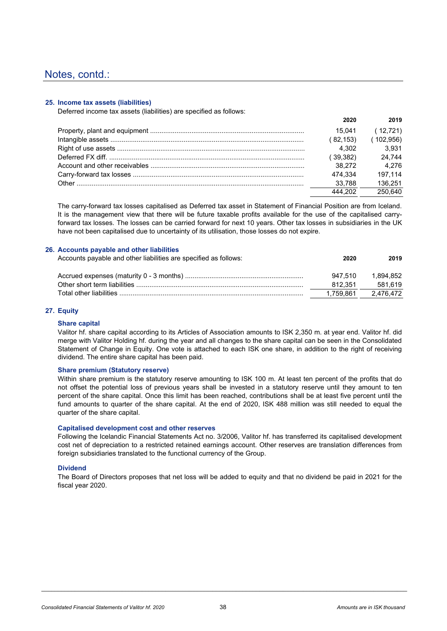### **25. Income tax assets (liabilities)**

Deferred income tax assets (liabilities) are specified as follows:

| 2020      | 2019      |
|-----------|-----------|
| 15.041    | (12,721)  |
| (82, 153) | (102,956) |
| 4.302     | 3.931     |
| (39,382)  | 24.744    |
| 38.272    | 4.276     |
| 474.334   | 197.114   |
| 33.788    | 136.251   |
| 444.202   | 250.640   |

The carry-forward tax losses capitalised as Deferred tax asset in Statement of Financial Position are from Iceland. It is the management view that there will be future taxable profits available for the use of the capitalised carryforward tax losses. The losses can be carried forward for next 10 years. Other tax losses in subsidiaries in the UK have not been capitalised due to uncertainty of its utilisation, those losses do not expire.

### **26. Accounts payable and other liabilities**

| Accounts payable and other liabilities are specified as follows: | 2020      | 2019      |
|------------------------------------------------------------------|-----------|-----------|
|                                                                  | 947.510   | 1.894.852 |
|                                                                  | 812.351   | 581.619   |
|                                                                  | 1.759.861 | 2.476.472 |

### **27. Equity**

### **Share capital**

Valitor hf. share capital according to its Articles of Association amounts to ISK 2,350 m. at year end. Valitor hf. did merge with Valitor Holding hf. during the year and all changes to the share capital can be seen in the Consolidated Statement of Change in Equity. One vote is attached to each ISK one share, in addition to the right of receiving dividend. The entire share capital has been paid.

### **Share premium (Statutory reserve)**

Within share premium is the statutory reserve amounting to ISK 100 m. At least ten percent of the profits that do not offset the potential loss of previous years shall be invested in a statutory reserve until they amount to ten percent of the share capital. Once this limit has been reached, contributions shall be at least five percent until the fund amounts to quarter of the share capital. At the end of 2020, ISK 488 million was still needed to equal the quarter of the share capital.

### **Capitalised development cost and other reserves**

Following the Icelandic Financial Statements Act no. 3/2006, Valitor hf. has transferred its capitalised development cost net of depreciation to a restricted retained earnings account. Other reserves are translation differences from foreign subsidiaries translated to the functional currency of the Group.

### **Dividend**

The Board of Directors proposes that net loss will be added to equity and that no dividend be paid in 2021 for the fiscal year 2020.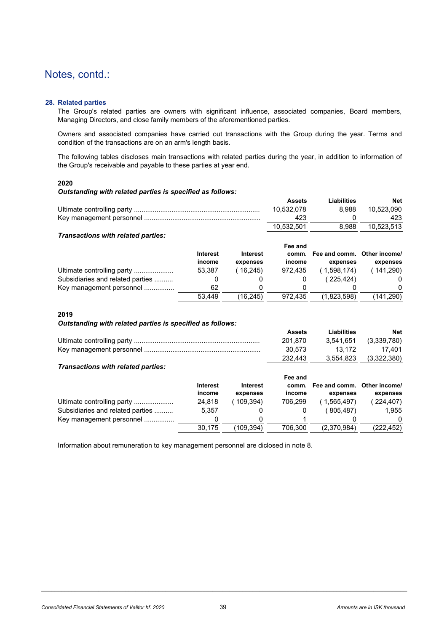### **28. Related parties**

The Group's related parties are owners with significant influence, associated companies, Board members, Managing Directors, and close family members of the aforementioned parties.

Owners and associated companies have carried out transactions with the Group during the year. Terms and condition of the transactions are on an arm's length basis.

The following tables discloses main transactions with related parties during the year, in addition to information of the Group's receivable and payable to these parties at year end.

### **2020**

*Outstanding with related parties is specified as follows:*

| Assets     | Liabilities | <b>Net</b> |
|------------|-------------|------------|
| 10.532.078 | 8.988       | 10.523.090 |
| 423        |             | 423        |
| 10.532.501 | 8.988       | 10.523.513 |

### *Transactions with related parties:*

|                                  |          |                 | Fee and |                             |           |
|----------------------------------|----------|-----------------|---------|-----------------------------|-----------|
|                                  | Interest | <b>Interest</b> | comm.   | Fee and comm. Other income/ |           |
|                                  | income   | expenses        | income  | expenses                    | expenses  |
| Ultimate controlling party       | 53.387   | 16.245          | 972.435 | 1.598.174)                  | (141,290) |
| Subsidiaries and related parties |          |                 |         | (225.424)                   |           |
| Key management personnel         | 62       |                 |         |                             |           |
|                                  | 53.449   | (16,245)        | 972.435 | (1,823,598)                 | (141,290) |

### **2019**

*Outstanding with related parties is specified as follows:*

| <b>Assets</b> | Liabilities | <b>Net</b>            |
|---------------|-------------|-----------------------|
| 201.870       |             | 3,541,651 (3,339,780) |
| 30.573        | 13.172      | 17.401                |
| 232.443       | 3.554.823   | (3.322.380)           |

### *Transactions with related parties:*

|                                  |                 |                 | Fee and |               |               |
|----------------------------------|-----------------|-----------------|---------|---------------|---------------|
|                                  | <b>Interest</b> | <b>Interest</b> | comm.   | Fee and comm. | Other income/ |
|                                  | income          | expenses        | income  | expenses      | expenses      |
| Ultimate controlling party       | 24.818          | 109.394)        | 706.299 | 1.565.497)    | (224, 407)    |
| Subsidiaries and related parties | 5.357           |                 |         | 805.487)      | 1.955         |
| Key management personnel         |                 |                 |         |               | 0             |
|                                  | 30.175          | (109,394)       | 706.300 | (2,370,984)   | (222.452)     |

Information about remuneration to key management personnel are diclosed in note 8.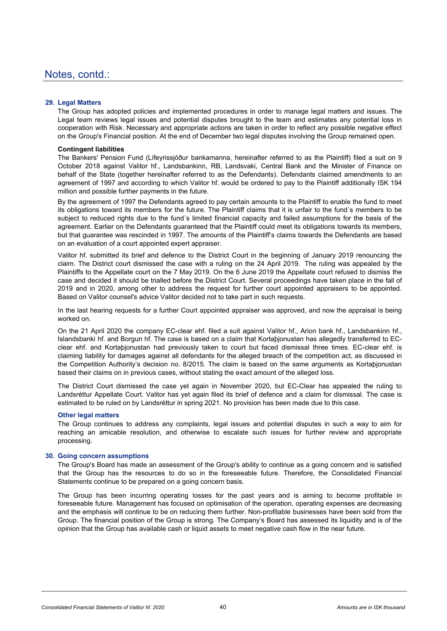### **29. Legal Matters**

The Group has adopted policies and implemented procedures in order to manage legal matters and issues. The Legal team reviews legal issues and potential disputes brought to the team and estimates any potential loss in cooperation with Risk. Necessary and appropriate actions are taken in order to reflect any possible negative effect on the Group's Financial position. At the end of December two legal disputes involving the Group remained open.

### **Contingent liabilities**

The Bankers' Pension Fund (Lífeyrissjóður bankamanna, hereinafter referred to as the Plaintiff) filed a suit on 9 October 2018 against Valitor hf., Landsbankinn, RB, Landsvaki, Central Bank and the Minister of Finance on behalf of the State (together hereinafter referred to as the Defendants). Defendants claimed amendments to an agreement of 1997 and according to which Valitor hf. would be ordered to pay to the Plaintiff additionally ISK 194 million and possible further payments in the future.

By the agreement of 1997 the Defendants agreed to pay certain amounts to the Plaintiff to enable the fund to meet its obligations toward its members for the future. The Plaintiff claims that it is unfair to the fund´s members to be subject to reduced rights due to the fund´s limited financial capacity and failed assumptions for the basis of the agreement. Earlier on the Defendants guaranteed that the Plaintiff could meet its obligations towards its members, but that guarantee was rescinded in 1997. The amounts of the Plaintiff's claims towards the Defendants are based on an evaluation of a court appointed expert appraiser.

Valitor hf. submitted its brief and defence to the District Court in the beginning of January 2019 renouncing the claim. The District court dismissed the case with a ruling on the 24 April 2019. The ruling was appealed by the Plaintiffs to the Appellate court on the 7 May 2019. On the 6 June 2019 the Appellate court refused to dismiss the case and decided it should be trialled before the District Court. Several proceedings have taken place in the fall of 2019 and in 2020, among other to address the request for further court appointed appraisers to be appointed. Based on Valitor counsel's advice Valitor decided not to take part in such requests.

In the last hearing requests for a further Court appointed appraiser was approved, and now the appraisal is being worked on.

On the 21 April 2020 the company EC-clear ehf. filed a suit against Valitor hf., Arion bank hf., Landsbankinn hf., Islandsbanki hf. and Borgun hf. The case is based on a claim that Kortaþjonustan has allegedly transferred to ECclear ehf. and Kortaþjonustan had previously taken to court but faced dismissal three times. EC-clear ehf. is claiming liability for damages against all defendants for the alleged breach of the competition act, as discussed in the Competition Authority's decision no. 8/2015. The claim is based on the same arguments as Kortaþjonustan based their claims on in previous cases, without stating the exact amount of the alleged loss.

The District Court dismissed the case yet again in November 2020, but EC-Clear has appealed the ruling to Landsréttur Appellate Court. Valitor has yet again filed its brief of defence and a claim for dismissal. The case is estimated to be ruled on by Landsréttur in spring 2021. No provision has been made due to this case.

### **Other legal matters**

The Group continues to address any complaints, legal issues and potential disputes in such a way to aim for reaching an amicable resolution, and otherwise to escalate such issues for further review and appropriate processing.

### **30. Going concern assumptions**

The Group's Board has made an assessment of the Group's ability to continue as a going concern and is satisfied that the Group has the resources to do so in the foreseeable future. Therefore, the Consolidated Financial Statements continue to be prepared on a going concern basis.

The Group has been incurring operating losses for the past years and is aiming to become profitable in foreseeable future. Management has focused on optimisation of the operation, operating expenses are decreasing and the emphasis will continue to be on reducing them further. Non-profitable businesses have been sold from the Group. The financial position of the Group is strong. The Company's Board has assessed its liquidity and is of the opinion that the Group has available cash or liquid assets to meet negative cash flow in the near future.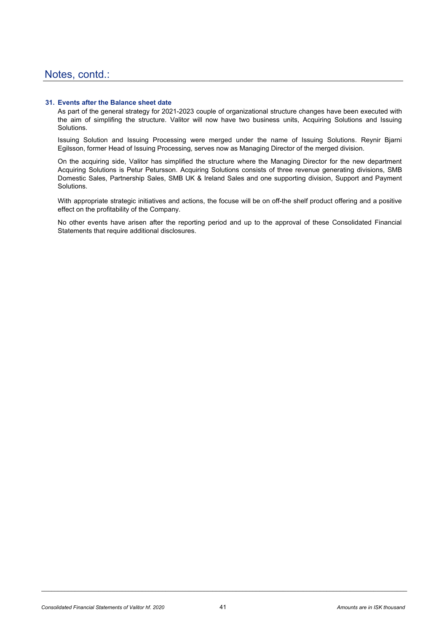### **31. Events after the Balance sheet date**

As part of the general strategy for 2021-2023 couple of organizational structure changes have been executed with the aim of simplifing the structure. Valitor will now have two business units, Acquiring Solutions and Issuing Solutions.

Issuing Solution and Issuing Processing were merged under the name of Issuing Solutions. Reynir Bjarni Egilsson, former Head of Issuing Processing, serves now as Managing Director of the merged division.

On the acquiring side, Valitor has simplified the structure where the Managing Director for the new department Acquiring Solutions is Petur Petursson. Acquiring Solutions consists of three revenue generating divisions, SMB Domestic Sales, Partnership Sales, SMB UK & Ireland Sales and one supporting division, Support and Payment Solutions.

With appropriate strategic initiatives and actions, the focuse will be on off-the shelf product offering and a positive effect on the profitability of the Company.

No other events have arisen after the reporting period and up to the approval of these Consolidated Financial Statements that require additional disclosures.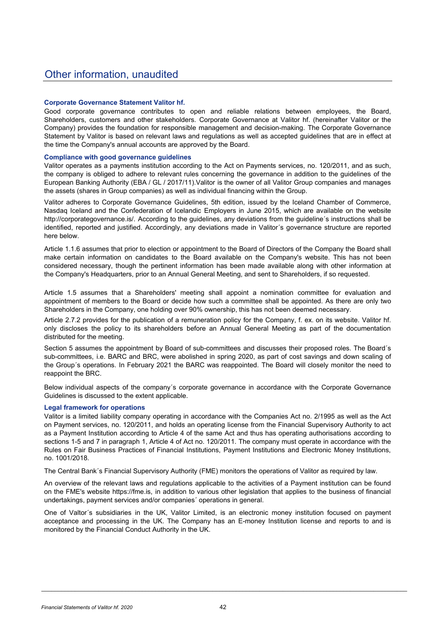### **Corporate Governance Statement Valitor hf.**

Good corporate governance contributes to open and reliable relations between employees, the Board, Shareholders, customers and other stakeholders. Corporate Governance at Valitor hf. (hereinafter Valitor or the Company) provides the foundation for responsible management and decision-making. The Corporate Governance Statement by Valitor is based on relevant laws and regulations as well as accepted guidelines that are in effect at the time the Company's annual accounts are approved by the Board.

### **Compliance with good governance guidelines**

Valitor operates as a payments institution according to the Act on Payments services, no. 120/2011, and as such, the company is obliged to adhere to relevant rules concerning the governance in addition to the guidelines of the European Banking Authority (EBA / GL / 2017/11).Valitor is the owner of all Valitor Group companies and manages the assets (shares in Group companies) as well as individual financing within the Group.

Valitor adheres to Corporate Governance Guidelines, 5th edition, issued by the Iceland Chamber of Commerce, Nasdaq Iceland and the Confederation of Icelandic Employers in June 2015, which are available on the website http://corporategovernance.is/. According to the quidelines, any deviations from the guideline's instructions shall be identified, reported and justified. Accordingly, any deviations made in Valitor´s governance structure are reported here below.

Article 1.1.6 assumes that prior to election or appointment to the Board of Directors of the Company the Board shall make certain information on candidates to the Board available on the Company's website. This has not been considered necessary, though the pertinent information has been made available along with other information at the Company's Headquarters, prior to an Annual General Meeting, and sent to Shareholders, if so requested.

Article 1.5 assumes that a Shareholders' meeting shall appoint a nomination committee for evaluation and appointment of members to the Board or decide how such a committee shall be appointed. As there are only two Shareholders in the Company, one holding over 90% ownership, this has not been deemed necessary.

Article 2.7.2 provides for the publication of a remuneration policy for the Company, f. ex. on its website. Valitor hf. only discloses the policy to its shareholders before an Annual General Meeting as part of the documentation distributed for the meeting.

Section 5 assumes the appointment by Board of sub-committees and discusses their proposed roles. The Board´s sub-committees, i.e. BARC and BRC, were abolished in spring 2020, as part of cost savings and down scaling of the Group´s operations. In February 2021 the BARC was reappointed. The Board will closely monitor the need to reappoint the BRC.

Below individual aspects of the company´s corporate governance in accordance with the Corporate Governance Guidelines is discussed to the extent applicable.

### **Legal framework for operations**

Valitor is a limited liability company operating in accordance with the Companies Act no. 2/1995 as well as the Act on Payment services, no. 120/2011, and holds an operating license from the Financial Supervisory Authority to act as a Payment Institution according to Article 4 of the same Act and thus has operating authorisations according to sections 1-5 and 7 in paragraph 1, Article 4 of Act no. 120/2011. The company must operate in accordance with the Rules on Fair Business Practices of Financial Institutions, Payment Institutions and Electronic Money Institutions, no. 1001/2018.

The Central Bank´s Financial Supervisory Authority (FME) monitors the operations of Valitor as required by law.

An overview of the relevant laws and regulations applicable to the activities of a Payment institution can be found on the FME's website https://fme.is, in addition to various other legislation that applies to the business of financial undertakings, payment services and/or companies´ operations in general.

One of Valtor´s subsidiaries in the UK, Valitor Limited, is an electronic money institution focused on payment acceptance and processing in the UK. The Company has an E-money Institution license and reports to and is monitored by the Financial Conduct Authority in the UK.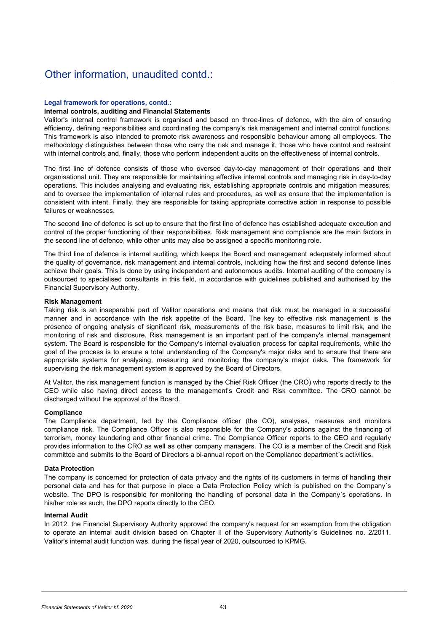### **Legal framework for operations, contd.:**

### **Internal controls, auditing and Financial Statements**

Valitor's internal control framework is organised and based on three-lines of defence, with the aim of ensuring efficiency, defining responsibilities and coordinating the company's risk management and internal control functions. This framework is also intended to promote risk awareness and responsible behaviour among all employees. The methodology distinguishes between those who carry the risk and manage it, those who have control and restraint with internal controls and, finally, those who perform independent audits on the effectiveness of internal controls.

The first line of defence consists of those who oversee day-to-day management of their operations and their organisational unit. They are responsible for maintaining effective internal controls and managing risk in day-to-day operations. This includes analysing and evaluating risk, establishing appropriate controls and mitigation measures, and to oversee the implementation of internal rules and procedures, as well as ensure that the implementation is consistent with intent. Finally, they are responsible for taking appropriate corrective action in response to possible failures or weaknesses.

The second line of defence is set up to ensure that the first line of defence has established adequate execution and control of the proper functioning of their responsibilities. Risk management and compliance are the main factors in the second line of defence, while other units may also be assigned a specific monitoring role.

The third line of defence is internal auditing, which keeps the Board and management adequately informed about the quality of governance, risk management and internal controls, including how the first and second defence lines achieve their goals. This is done by using independent and autonomous audits. Internal auditing of the company is outsourced to specialised consultants in this field, in accordance with guidelines published and authorised by the Financial Supervisory Authority.

### **Risk Management**

Taking risk is an inseparable part of Valitor operations and means that risk must be managed in a successful manner and in accordance with the risk appetite of the Board. The key to effective risk management is the presence of ongoing analysis of significant risk, measurements of the risk base, measures to limit risk, and the monitoring of risk and disclosure. Risk management is an important part of the company's internal management system. The Board is responsible for the Company's internal evaluation process for capital requirements, while the goal of the process is to ensure a total understanding of the Company's major risks and to ensure that there are appropriate systems for analysing, measuring and monitoring the company's major risks. The framework for supervising the risk management system is approved by the Board of Directors.

At Valitor, the risk management function is managed by the Chief Risk Officer (the CRO) who reports directly to the CEO while also having direct access to the management's Credit and Risk committee. The CRO cannot be discharged without the approval of the Board.

### **Compliance**

The Compliance department, led by the Compliance officer (the CO), analyses, measures and monitors compliance risk. The Compliance Officer is also responsible for the Company's actions against the financing of terrorism, money laundering and other financial crime. The Compliance Officer reports to the CEO and regularly provides information to the CRO as well as other company managers. The CO is a member of the Credit and Risk committee and submits to the Board of Directors a bi-annual report on the Compliance department´s activities.

### **Data Protection**

The company is concerned for protection of data privacy and the rights of its customers in terms of handling their personal data and has for that purpose in place a Data Protection Policy which is published on the Company´s website. The DPO is responsible for monitoring the handling of personal data in the Company´s operations. In his/her role as such, the DPO reports directly to the CEO.

### **Internal Audit**

In 2012, the Financial Supervisory Authority approved the company's request for an exemption from the obligation to operate an internal audit division based on Chapter II of the Supervisory Authority´s Guidelines no. 2/2011. Valitor's internal audit function was, during the fiscal year of 2020, outsourced to KPMG.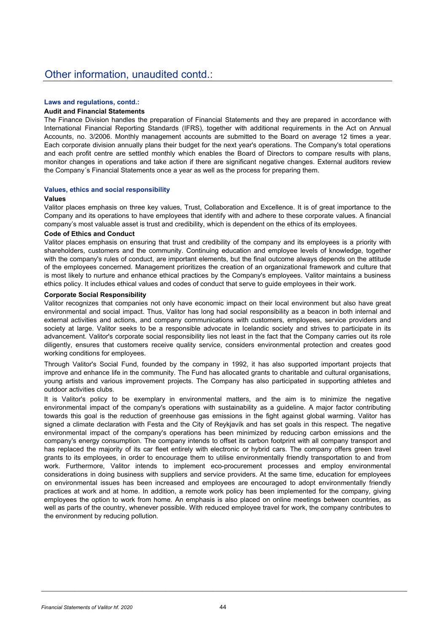### **Laws and regulations, contd.:**

### **Audit and Financial Statements**

The Finance Division handles the preparation of Financial Statements and they are prepared in accordance with International Financial Reporting Standards (IFRS), together with additional requirements in the Act on Annual Accounts, no. 3/2006. Monthly management accounts are submitted to the Board on average 12 times a year. Each corporate division annually plans their budget for the next year's operations. The Company's total operations and each profit centre are settled monthly which enables the Board of Directors to compare results with plans, monitor changes in operations and take action if there are significant negative changes. External auditors review the Company´s Financial Statements once a year as well as the process for preparing them.

### **Values, ethics and social responsibility**

### **Values**

Valitor places emphasis on three key values, Trust, Collaboration and Excellence. It is of great importance to the Company and its operations to have employees that identify with and adhere to these corporate values. A financial company's most valuable asset is trust and credibility, which is dependent on the ethics of its employees.

### **Code of Ethics and Conduct**

Valitor places emphasis on ensuring that trust and credibility of the company and its employees is a priority with shareholders, customers and the community. Continuing education and employee levels of knowledge, together with the company's rules of conduct, are important elements, but the final outcome always depends on the attitude of the employees concerned. Management prioritizes the creation of an organizational framework and culture that is most likely to nurture and enhance ethical practices by the Company's employees. Valitor maintains a business ethics policy. It includes ethical values and codes of conduct that serve to guide employees in their work.

### **Corporate Social Responsibility**

Valitor recognizes that companies not only have economic impact on their local environment but also have great environmental and social impact. Thus, Valitor has long had social responsibility as a beacon in both internal and external activities and actions, and company communications with customers, employees, service providers and society at large. Valitor seeks to be a responsible advocate in Icelandic society and strives to participate in its advancement. Valitor's corporate social responsibility lies not least in the fact that the Company carries out its role diligently, ensures that customers receive quality service, considers environmental protection and creates good working conditions for employees.

Through Valitor's Social Fund, founded by the company in 1992, it has also supported important projects that improve and enhance life in the community. The Fund has allocated grants to charitable and cultural organisations, young artists and various improvement projects. The Company has also participated in supporting athletes and outdoor activities clubs.

It is Valitor's policy to be exemplary in environmental matters, and the aim is to minimize the negative environmental impact of the company's operations with sustainability as a guideline. A major factor contributing towards this goal is the reduction of greenhouse gas emissions in the fight against global warming. Valitor has signed a climate declaration with Festa and the City of Reykjavík and has set goals in this respect. The negative environmental impact of the company's operations has been minimized by reducing carbon emissions and the company's energy consumption. The company intends to offset its carbon footprint with all company transport and has replaced the majority of its car fleet entirely with electronic or hybrid cars. The company offers green travel grants to its employees, in order to encourage them to utilise environmentally friendly transportation to and from work. Furthermore, Valitor intends to implement eco-procurement processes and employ environmental considerations in doing business with suppliers and service providers. At the same time, education for employees on environmental issues has been increased and employees are encouraged to adopt environmentally friendly practices at work and at home. In addition, a remote work policy has been implemented for the company, giving employees the option to work from home. An emphasis is also placed on online meetings between countries, as well as parts of the country, whenever possible. With reduced employee travel for work, the company contributes to the environment by reducing pollution.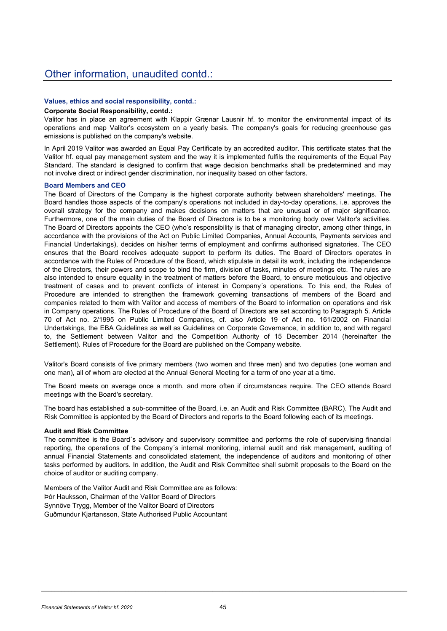### **Values, ethics and social responsibility, contd.:**

#### **Corporate Social Responsibility, contd.:**

Valitor has in place an agreement with Klappir Grænar Lausnir hf. to monitor the environmental impact of its operations and map Valitor's ecosystem on a yearly basis. The company's goals for reducing greenhouse gas emissions is published on the company's website.

In April 2019 Valitor was awarded an Equal Pay Certificate by an accredited auditor. This certificate states that the Valitor hf. equal pay management system and the way it is implemented fulfils the requirements of the Equal Pay Standard. The standard is designed to confirm that wage decision benchmarks shall be predetermined and may not involve direct or indirect gender discrimination, nor inequality based on other factors.

### **Board Members and CEO**

The Board of Directors of the Company is the highest corporate authority between shareholders' meetings. The Board handles those aspects of the company's operations not included in day-to-day operations, i.e. approves the overall strategy for the company and makes decisions on matters that are unusual or of major significance. Furthermore, one of the main duties of the Board of Directors is to be a monitoring body over Valitor's activities. The Board of Directors appoints the CEO (who's responsibility is that of managing director, among other things, in accordance with the provisions of the Act on Public Limited Companies, Annual Accounts, Payments services and Financial Undertakings), decides on his/her terms of employment and confirms authorised signatories. The CEO ensures that the Board receives adequate support to perform its duties. The Board of Directors operates in accordance with the Rules of Procedure of the Board, which stipulate in detail its work, including the independence of the Directors, their powers and scope to bind the firm, division of tasks, minutes of meetings etc. The rules are also intended to ensure equality in the treatment of matters before the Board, to ensure meticulous and objective treatment of cases and to prevent conflicts of interest in Company´s operations. To this end, the Rules of Procedure are intended to strengthen the framework governing transactions of members of the Board and companies related to them with Valitor and access of members of the Board to information on operations and risk in Company operations. The Rules of Procedure of the Board of Directors are set according to Paragraph 5. Article 70 of Act no. 2/1995 on Public Limited Companies, cf. also Article 19 of Act no. 161/2002 on Financial Undertakings, the EBA Guidelines as well as Guidelines on Corporate Governance, in addition to, and with regard to, the Settlement between Valitor and the Competition Authority of 15 December 2014 (hereinafter the Settlement). Rules of Procedure for the Board are published on the Company website.

Valitor's Board consists of five primary members (two women and three men) and two deputies (one woman and one man), all of whom are elected at the Annual General Meeting for a term of one year at a time.

The Board meets on average once a month, and more often if circumstances require. The CEO attends Board meetings with the Board's secretary.

The board has established a sub-committee of the Board, i.e. an Audit and Risk Committee (BARC). The Audit and Risk Committee is appionted by the Board of Directors and reports to the Board following each of its meetings.

### **Audit and Risk Committee**

The committee is the Board´s advisory and supervisory committee and performs the role of supervising financial reporting, the operations of the Company´s internal monitoring, internal audit and risk management, auditing of annual Financial Statements and consolidated statement, the independence of auditors and monitoring of other tasks performed by auditors. In addition, the Audit and Risk Committee shall submit proposals to the Board on the choice of auditor or auditing company.

Members of the Valitor Audit and Risk Committee are as follows: Þór Hauksson, Chairman of the Valitor Board of Directors Synnöve Trygg, Member of the Valitor Board of Directors Guðmundur Kjartansson, State Authorised Public Accountant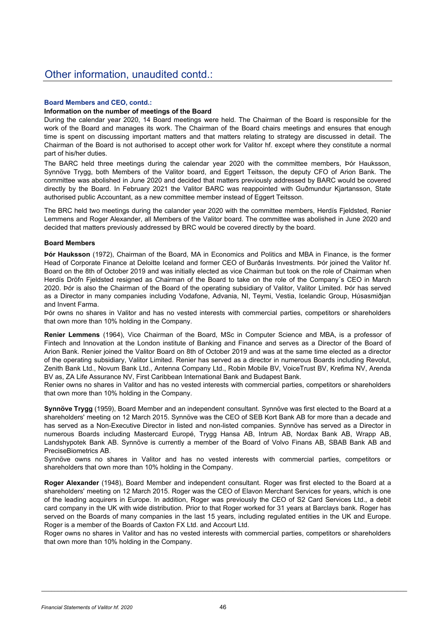### **Board Members and CEO, contd.:**

### **Information on the number of meetings of the Board**

During the calendar year 2020, 14 Board meetings were held. The Chairman of the Board is responsible for the work of the Board and manages its work. The Chairman of the Board chairs meetings and ensures that enough time is spent on discussing important matters and that matters relating to strategy are discussed in detail. The Chairman of the Board is not authorised to accept other work for Valitor hf. except where they constitute a normal part of his/her duties.

The BARC held three meetings during the calendar year 2020 with the committee members, Þór Hauksson, Synnöve Trygg, both Members of the Valitor board, and Eggert Teitsson, the deputy CFO of Arion Bank. The committee was abolished in June 2020 and decided that matters previously addressed by BARC would be covered directly by the Board. In February 2021 the Valitor BARC was reappointed with Guðmundur Kjartansson, State authorised public Accountant, as a new committee member instead of Eggert Teitsson.

The BRC held two meetings during the calander year 2020 with the committee members, Herdís Fieldsted, Renier Lemmens and Roger Alexander, all Members of the Valitor board. The committee was abolished in June 2020 and decided that matters previously addressed by BRC would be covered directly by the board.

### **Board Members**

**Þór Hauksson** (1972), Chairman of the Board, MA in Economics and Politics and MBA in Finance, is the former Head of Corporate Finance at Deloitte Iceland and former CEO of Burðarás Investments. Þór joined the Valitor hf. Board on the 8th of October 2019 and was initially elected as vice Chairman but took on the role of Chairman when Herdís Dröfn Fjeldsted resigned as Chairman of the Board to take on the role of the Company´s CEO in March 2020. Þór is also the Chairman of the Board of the operating subsidiary of Valitor, Valitor Limited. Þór has served as a Director in many companies including Vodafone, Advania, NI, Teymi, Vestia, Icelandic Group, Húsasmiðjan and Invent Farma.

Þór owns no shares in Valitor and has no vested interests with commercial parties, competitors or shareholders that own more than 10% holding in the Company.

**Renier Lemmens** (1964), Vice Chairman of the Board, MSc in Computer Science and MBA, is a professor of Fintech and Innovation at the London institute of Banking and Finance and serves as a Director of the Board of Arion Bank. Renier joined the Valitor Board on 8th of October 2019 and was at the same time elected as a director of the operating subsidiary, Valitor Limited. Renier has served as a director in numerous Boards including Revolut, Zenith Bank Ltd., Novum Bank Ltd., Antenna Company Ltd., Robin Mobile BV, VoiceTrust BV, Krefima NV, Arenda BV as, ZA Life Assurance NV, First Caribbean International Bank and Budapest Bank.

Renier owns no shares in Valitor and has no vested interests with commercial parties, competitors or shareholders that own more than 10% holding in the Company.

**Synnöve Trygg** (1959), Board Member and an independent consultant. Synnöve was first elected to the Board at a shareholders' meeting on 12 March 2015. Synnöve was the CEO of SEB Kort Bank AB for more than a decade and has served as a Non-Executive Director in listed and non-listed companies. Synnöve has served as a Director in numerous Boards including Mastercard Europé, Trygg Hansa AB, Intrum AB, Nordax Bank AB, Wrapp AB, Landshypotek Bank AB. Synnöve is currently a member of the Board of Volvo Finans AB, SBAB Bank AB and PreciseBiometrics AB.

Synnöve owns no shares in Valitor and has no vested interests with commercial parties, competitors or shareholders that own more than 10% holding in the Company.

**Roger Alexander** (1948), Board Member and independent consultant. Roger was first elected to the Board at a shareholders' meeting on 12 March 2015. Roger was the CEO of Elavon Merchant Services for years, which is one of the leading acquirers in Europe. In addition, Roger was previously the CEO of S2 Card Services Ltd., a debit card company in the UK with wide distribution. Prior to that Roger worked for 31 years at Barclays bank. Roger has served on the Boards of many companies in the last 15 years, including regulated entities in the UK and Europe. Roger is a member of the Boards of Caxton FX Ltd. and Accourt Ltd.

Roger owns no shares in Valitor and has no vested interests with commercial parties, competitors or shareholders that own more than 10% holding in the Company.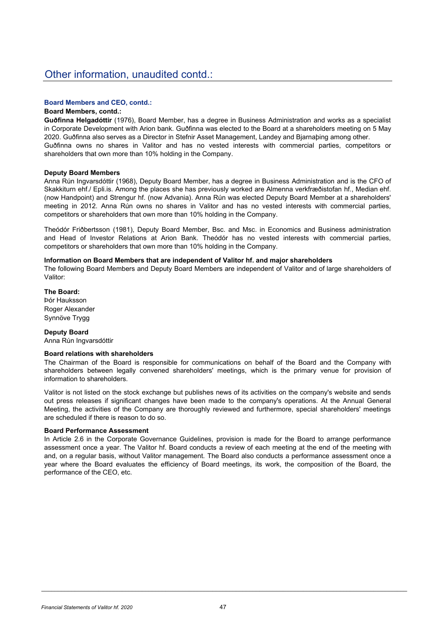### **Board Members and CEO, contd.:**

### **Board Members, contd.:**

**Guðfinna Helgadóttir** (1976), Board Member, has a degree in Business Administration and works as a specialist in Corporate Development with Arion bank. Guðfinna was elected to the Board at a shareholders meeting on 5 May 2020. Guðfinna also serves as a Director in Stefnir Asset Management, Landey and Bjarnaþing among other. Guðfinna owns no shares in Valitor and has no vested interests with commercial parties, competitors or shareholders that own more than 10% holding in the Company.

### **Deputy Board Members**

Anna Rún Ingvarsdóttir (1968), Deputy Board Member, has a degree in Business Administration and is the CFO of Skakkiturn ehf./ Epli.is. Among the places she has previously worked are Almenna verkfræðistofan hf., Median ehf. (now Handpoint) and Strengur hf. (now Advania). Anna Rún was elected Deputy Board Member at a shareholders' meeting in 2012. Anna Rún owns no shares in Valitor and has no vested interests with commercial parties, competitors or shareholders that own more than 10% holding in the Company.

Theódór Friðbertsson (1981), Deputy Board Member, Bsc. and Msc. in Economics and Business administration and Head of Investor Relations at Arion Bank. Theódór has no vested interests with commercial parties, competitors or shareholders that own more than 10% holding in the Company.

### **Information on Board Members that are independent of Valitor hf. and major shareholders**

The following Board Members and Deputy Board Members are independent of Valitor and of large shareholders of Valitor:

**The Board:** Þór Hauksson Roger Alexander Synnöve Trygg

**Deputy Board**  Anna Rún Ingvarsdóttir

### **Board relations with shareholders**

The Chairman of the Board is responsible for communications on behalf of the Board and the Company with shareholders between legally convened shareholders' meetings, which is the primary venue for provision of information to shareholders.

Valitor is not listed on the stock exchange but publishes news of its activities on the company's website and sends out press releases if significant changes have been made to the company's operations. At the Annual General Meeting, the activities of the Company are thoroughly reviewed and furthermore, special shareholders' meetings are scheduled if there is reason to do so.

### **Board Performance Assessment**

In Article 2.6 in the Corporate Governance Guidelines, provision is made for the Board to arrange performance assessment once a year. The Valitor hf. Board conducts a review of each meeting at the end of the meeting with and, on a regular basis, without Valitor management. The Board also conducts a performance assessment once a year where the Board evaluates the efficiency of Board meetings, its work, the composition of the Board, the performance of the CEO, etc.